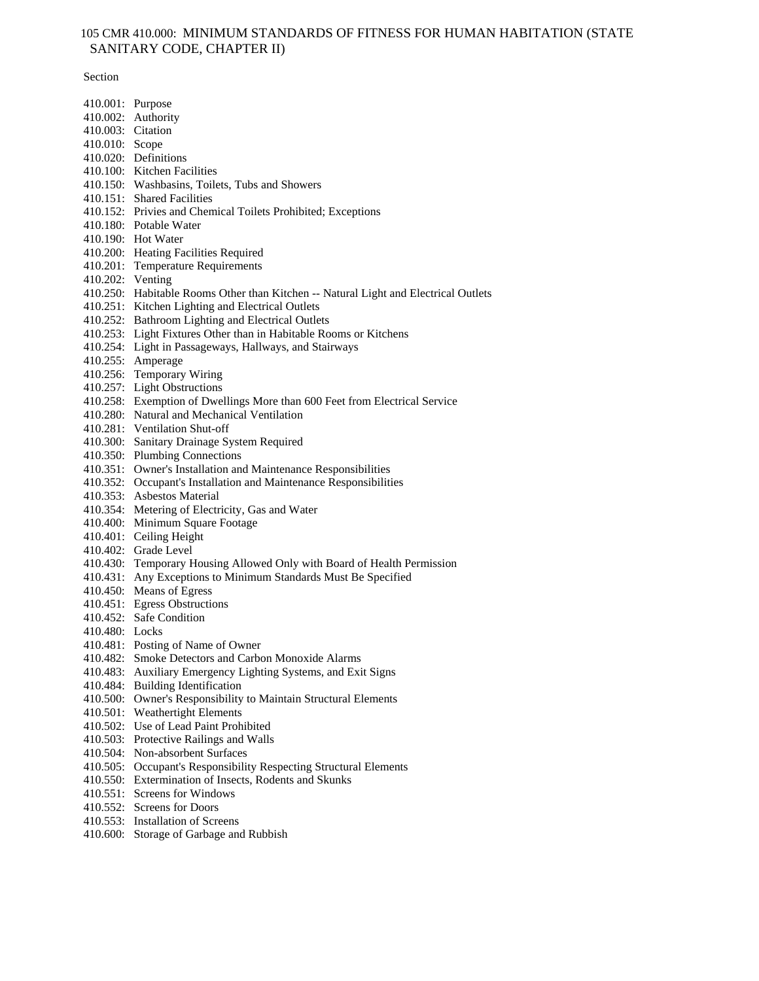# 105 CMR 410.000: MINIMUM STANDARDS OF FITNESS FOR HUMAN HABITATION (STATE SANITARY CODE, CHAPTER II)

Section

| 410.001: Purpose  |                                                                                     |
|-------------------|-------------------------------------------------------------------------------------|
|                   | 410.002: Authority                                                                  |
| 410.003: Citation |                                                                                     |
| 410.010: Scope    |                                                                                     |
|                   | 410.020: Definitions                                                                |
|                   | 410.100: Kitchen Facilities                                                         |
|                   | 410.150: Washbasins, Toilets, Tubs and Showers                                      |
|                   | 410.151: Shared Facilities                                                          |
|                   | 410.152: Privies and Chemical Toilets Prohibited; Exceptions                        |
|                   | 410.180: Potable Water                                                              |
|                   | 410.190: Hot Water                                                                  |
|                   | 410.200: Heating Facilities Required                                                |
|                   | 410.201: Temperature Requirements                                                   |
| 410.202: Venting  |                                                                                     |
|                   | 410.250: Habitable Rooms Other than Kitchen -- Natural Light and Electrical Outlets |
|                   | 410.251: Kitchen Lighting and Electrical Outlets                                    |
|                   | 410.252: Bathroom Lighting and Electrical Outlets                                   |
|                   | 410.253: Light Fixtures Other than in Habitable Rooms or Kitchens                   |
|                   | 410.254: Light in Passageways, Hallways, and Stairways                              |
|                   | 410.255: Amperage                                                                   |
|                   | 410.256: Temporary Wiring                                                           |
|                   | 410.257: Light Obstructions                                                         |
|                   | 410.258: Exemption of Dwellings More than 600 Feet from Electrical Service          |
|                   | 410.280: Natural and Mechanical Ventilation                                         |
|                   | 410.281: Ventilation Shut-off                                                       |
|                   | 410.300: Sanitary Drainage System Required                                          |
|                   | 410.350: Plumbing Connections                                                       |
|                   | 410.351: Owner's Installation and Maintenance Responsibilities                      |
|                   | 410.352: Occupant's Installation and Maintenance Responsibilities                   |
|                   | 410.353: Asbestos Material                                                          |
|                   | 410.354: Metering of Electricity, Gas and Water                                     |
| 410.400:          | Minimum Square Footage                                                              |
|                   | 410.401: Ceiling Height                                                             |
|                   | 410.402: Grade Level                                                                |
|                   | 410.430: Temporary Housing Allowed Only with Board of Health Permission             |
|                   | 410.431: Any Exceptions to Minimum Standards Must Be Specified                      |
|                   | 410.450: Means of Egress                                                            |
|                   | 410.451: Egress Obstructions                                                        |
|                   | 410.452: Safe Condition                                                             |
| 410.480: Locks    |                                                                                     |
|                   | 410.481: Posting of Name of Owner                                                   |
| 410.482:          | Smoke Detectors and Carbon Monoxide Alarms                                          |
| 410.483:          | Auxiliary Emergency Lighting Systems, and Exit Signs                                |
| 410.484:          | <b>Building Identification</b>                                                      |
| 410.500:          | Owner's Responsibility to Maintain Structural Elements                              |
| 410.501:          | <b>Weathertight Elements</b>                                                        |
| 410.502:          | Use of Lead Paint Prohibited                                                        |
| 410.503:          | Protective Railings and Walls                                                       |
| 410.504:          | Non-absorbent Surfaces                                                              |
| 410.505:          | Occupant's Responsibility Respecting Structural Elements                            |
| 410.550:          | Extermination of Insects, Rodents and Skunks                                        |
| 410.551:          | Screens for Windows                                                                 |
| 410.552:          | <b>Screens for Doors</b>                                                            |
| 410.553:          | <b>Installation of Screens</b>                                                      |
| 410.600:          | Storage of Garbage and Rubbish                                                      |
|                   |                                                                                     |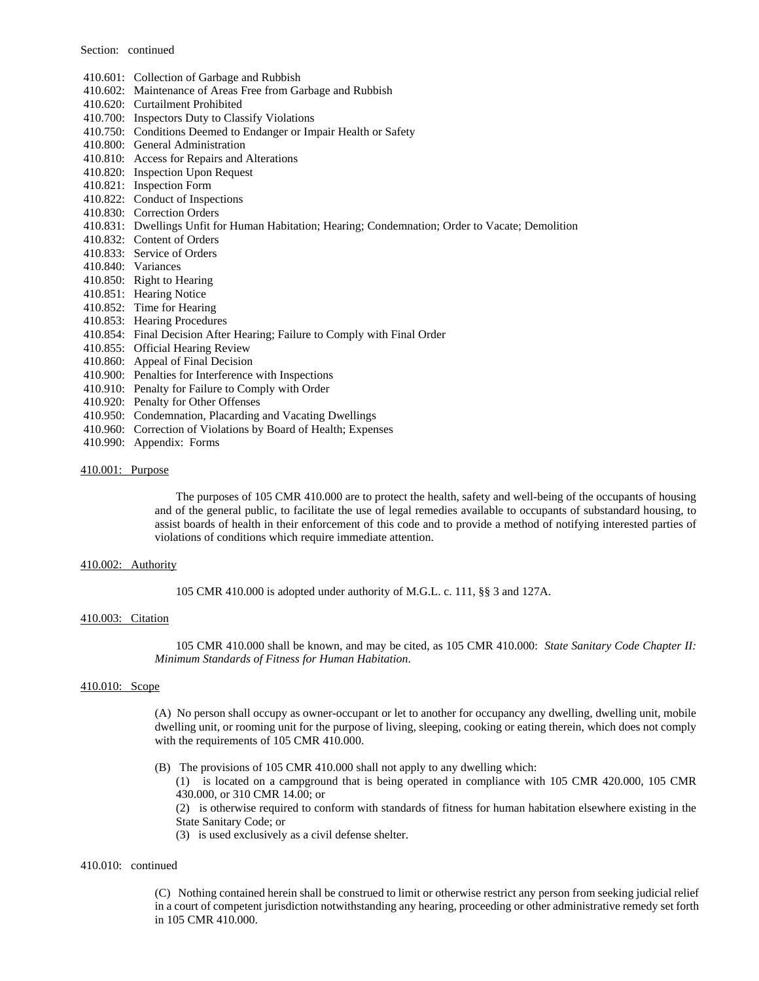Section: continued

- 410.601: Collection of Garbage and Rubbish
- 410.602: Maintenance of Areas Free from Garbage and Rubbish
- 410.620: Curtailment Prohibited
- 410.700: Inspectors Duty to Classify Violations
- 410.750: Conditions Deemed to Endanger or Impair Health or Safety
- 410.800: General Administration
- 410.810: Access for Repairs and Alterations
- 410.820: Inspection Upon Request
- 410.821: Inspection Form
- 410.822: Conduct of Inspections
- 410.830: Correction Orders
- 410.831: Dwellings Unfit for Human Habitation; Hearing; Condemnation; Order to Vacate; Demolition
- 410.832: Content of Orders
- 410.833: Service of Orders
- 410.840: Variances
- 410.850: Right to Hearing
- 410.851: Hearing Notice
- 410.852: Time for Hearing
- 410.853: Hearing Procedures
- 410.854: Final Decision After Hearing; Failure to Comply with Final Order
- 410.855: Official Hearing Review
- 410.860: Appeal of Final Decision
- 410.900: Penalties for Interference with Inspections
- 410.910: Penalty for Failure to Comply with Order
- 410.920: Penalty for Other Offenses
- 410.950: Condemnation, Placarding and Vacating Dwellings
- 410.960: Correction of Violations by Board of Health; Expenses
- 410.990: Appendix: Forms

# 410.001: Purpose

The purposes of 105 CMR 410.000 are to protect the health, safety and well-being of the occupants of housing and of the general public, to facilitate the use of legal remedies available to occupants of substandard housing, to assist boards of health in their enforcement of this code and to provide a method of notifying interested parties of violations of conditions which require immediate attention.

#### 410.002: Authority

105 CMR 410.000 is adopted under authority of M.G.L. c. 111, §§ 3 and 127A.

# 410.003: Citation

105 CMR 410.000 shall be known, and may be cited, as 105 CMR 410.000: *State Sanitary Code Chapter II: Minimum Standards of Fitness for Human Habitation*.

### 410.010: Scope

(A) No person shall occupy as owner-occupant or let to another for occupancy any dwelling, dwelling unit, mobile dwelling unit, or rooming unit for the purpose of living, sleeping, cooking or eating therein, which does not comply with the requirements of 105 CMR 410.000.

(B) The provisions of 105 CMR 410.000 shall not apply to any dwelling which:

(1) is located on a campground that is being operated in compliance with 105 CMR 420.000, 105 CMR 430.000, or 310 CMR 14.00; or

(2) is otherwise required to conform with standards of fitness for human habitation elsewhere existing in the State Sanitary Code; or

(3) is used exclusively as a civil defense shelter.

# 410.010: continued

(C) Nothing contained herein shall be construed to limit or otherwise restrict any person from seeking judicial relief in a court of competent jurisdiction notwithstanding any hearing, proceeding or other administrative remedy set forth in 105 CMR 410.000.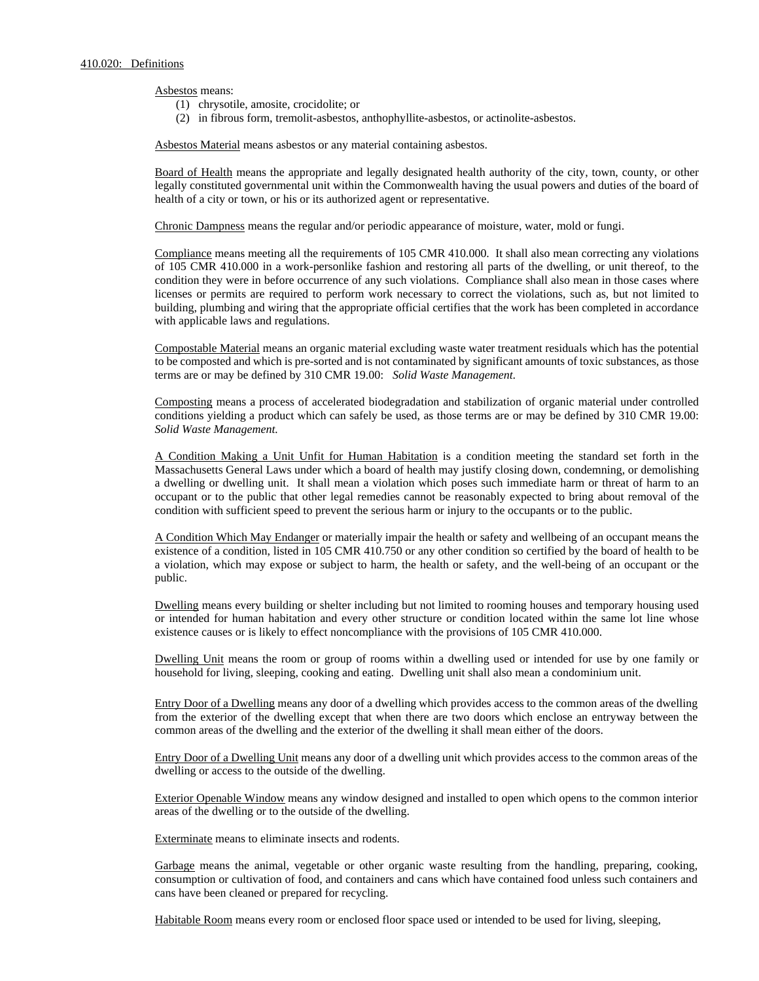Asbestos means:

- (1) chrysotile, amosite, crocidolite; or
- (2) in fibrous form, tremolit-asbestos, anthophyllite-asbestos, or actinolite-asbestos.

Asbestos Material means asbestos or any material containing asbestos.

Board of Health means the appropriate and legally designated health authority of the city, town, county, or other legally constituted governmental unit within the Commonwealth having the usual powers and duties of the board of health of a city or town, or his or its authorized agent or representative.

Chronic Dampness means the regular and/or periodic appearance of moisture, water, mold or fungi.

Compliance means meeting all the requirements of 105 CMR 410.000. It shall also mean correcting any violations of 105 CMR 410.000 in a work-personlike fashion and restoring all parts of the dwelling, or unit thereof, to the condition they were in before occurrence of any such violations. Compliance shall also mean in those cases where licenses or permits are required to perform work necessary to correct the violations, such as, but not limited to building, plumbing and wiring that the appropriate official certifies that the work has been completed in accordance with applicable laws and regulations.

Compostable Material means an organic material excluding waste water treatment residuals which has the potential to be composted and which is pre-sorted and is not contaminated by significant amounts of toxic substances, as those terms are or may be defined by 310 CMR 19.00: *Solid Waste Management*.

Composting means a process of accelerated biodegradation and stabilization of organic material under controlled conditions yielding a product which can safely be used, as those terms are or may be defined by 310 CMR 19.00: *Solid Waste Management.*

A Condition Making a Unit Unfit for Human Habitation is a condition meeting the standard set forth in the Massachusetts General Laws under which a board of health may justify closing down, condemning, or demolishing a dwelling or dwelling unit. It shall mean a violation which poses such immediate harm or threat of harm to an occupant or to the public that other legal remedies cannot be reasonably expected to bring about removal of the condition with sufficient speed to prevent the serious harm or injury to the occupants or to the public.

A Condition Which May Endanger or materially impair the health or safety and wellbeing of an occupant means the existence of a condition, listed in 105 CMR 410.750 or any other condition so certified by the board of health to be a violation, which may expose or subject to harm, the health or safety, and the well-being of an occupant or the public.

Dwelling means every building or shelter including but not limited to rooming houses and temporary housing used or intended for human habitation and every other structure or condition located within the same lot line whose existence causes or is likely to effect noncompliance with the provisions of 105 CMR 410.000.

Dwelling Unit means the room or group of rooms within a dwelling used or intended for use by one family or household for living, sleeping, cooking and eating. Dwelling unit shall also mean a condominium unit.

Entry Door of a Dwelling means any door of a dwelling which provides access to the common areas of the dwelling from the exterior of the dwelling except that when there are two doors which enclose an entryway between the common areas of the dwelling and the exterior of the dwelling it shall mean either of the doors.

Entry Door of a Dwelling Unit means any door of a dwelling unit which provides access to the common areas of the dwelling or access to the outside of the dwelling.

Exterior Openable Window means any window designed and installed to open which opens to the common interior areas of the dwelling or to the outside of the dwelling.

Exterminate means to eliminate insects and rodents.

Garbage means the animal, vegetable or other organic waste resulting from the handling, preparing, cooking, consumption or cultivation of food, and containers and cans which have contained food unless such containers and cans have been cleaned or prepared for recycling.

Habitable Room means every room or enclosed floor space used or intended to be used for living, sleeping,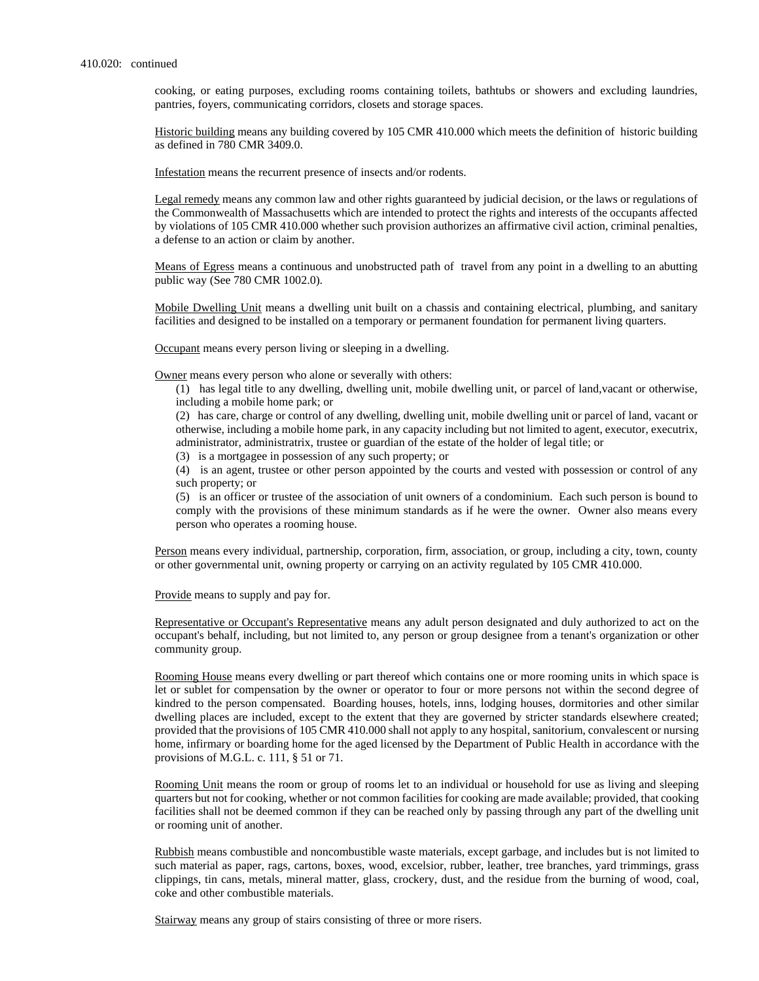cooking, or eating purposes, excluding rooms containing toilets, bathtubs or showers and excluding laundries, pantries, foyers, communicating corridors, closets and storage spaces.

Historic building means any building covered by 105 CMR 410.000 which meets the definition of historic building as defined in 780 CMR 3409.0.

Infestation means the recurrent presence of insects and/or rodents.

Legal remedy means any common law and other rights guaranteed by judicial decision, or the laws or regulations of the Commonwealth of Massachusetts which are intended to protect the rights and interests of the occupants affected by violations of 105 CMR 410.000 whether such provision authorizes an affirmative civil action, criminal penalties, a defense to an action or claim by another.

Means of Egress means a continuous and unobstructed path of travel from any point in a dwelling to an abutting public way (See 780 CMR 1002.0).

Mobile Dwelling Unit means a dwelling unit built on a chassis and containing electrical, plumbing, and sanitary facilities and designed to be installed on a temporary or permanent foundation for permanent living quarters.

Occupant means every person living or sleeping in a dwelling.

Owner means every person who alone or severally with others:

(1) has legal title to any dwelling, dwelling unit, mobile dwelling unit, or parcel of land,vacant or otherwise, including a mobile home park; or

(2) has care, charge or control of any dwelling, dwelling unit, mobile dwelling unit or parcel of land, vacant or otherwise, including a mobile home park, in any capacity including but not limited to agent, executor, executrix, administrator, administratrix, trustee or guardian of the estate of the holder of legal title; or

(3) is a mortgagee in possession of any such property; or

(4) is an agent, trustee or other person appointed by the courts and vested with possession or control of any such property; or

(5) is an officer or trustee of the association of unit owners of a condominium. Each such person is bound to comply with the provisions of these minimum standards as if he were the owner. Owner also means every person who operates a rooming house.

Person means every individual, partnership, corporation, firm, association, or group, including a city, town, county or other governmental unit, owning property or carrying on an activity regulated by 105 CMR 410.000.

Provide means to supply and pay for.

Representative or Occupant's Representative means any adult person designated and duly authorized to act on the occupant's behalf, including, but not limited to, any person or group designee from a tenant's organization or other community group.

Rooming House means every dwelling or part thereof which contains one or more rooming units in which space is let or sublet for compensation by the owner or operator to four or more persons not within the second degree of kindred to the person compensated. Boarding houses, hotels, inns, lodging houses, dormitories and other similar dwelling places are included, except to the extent that they are governed by stricter standards elsewhere created; provided that the provisions of 105 CMR 410.000 shall not apply to any hospital, sanitorium, convalescent or nursing home, infirmary or boarding home for the aged licensed by the Department of Public Health in accordance with the provisions of M.G.L. c. 111, § 51 or 71.

Rooming Unit means the room or group of rooms let to an individual or household for use as living and sleeping quarters but not for cooking, whether or not common facilities for cooking are made available; provided, that cooking facilities shall not be deemed common if they can be reached only by passing through any part of the dwelling unit or rooming unit of another.

Rubbish means combustible and noncombustible waste materials, except garbage, and includes but is not limited to such material as paper, rags, cartons, boxes, wood, excelsior, rubber, leather, tree branches, yard trimmings, grass clippings, tin cans, metals, mineral matter, glass, crockery, dust, and the residue from the burning of wood, coal, coke and other combustible materials.

Stairway means any group of stairs consisting of three or more risers.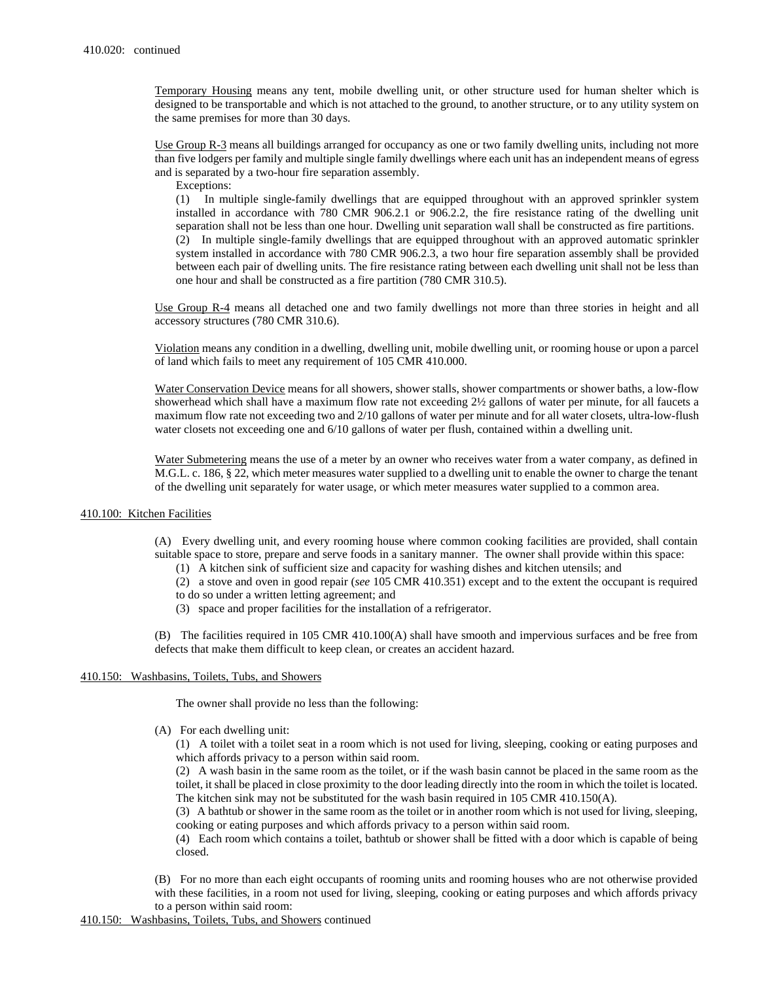Temporary Housing means any tent, mobile dwelling unit, or other structure used for human shelter which is designed to be transportable and which is not attached to the ground, to another structure, or to any utility system on the same premises for more than 30 days.

Use Group R-3 means all buildings arranged for occupancy as one or two family dwelling units, including not more than five lodgers per family and multiple single family dwellings where each unit has an independent means of egress and is separated by a two-hour fire separation assembly.

Exceptions:

(1) In multiple single-family dwellings that are equipped throughout with an approved sprinkler system installed in accordance with 780 CMR 906.2.1 or 906.2.2, the fire resistance rating of the dwelling unit separation shall not be less than one hour. Dwelling unit separation wall shall be constructed as fire partitions. (2) In multiple single-family dwellings that are equipped throughout with an approved automatic sprinkler system installed in accordance with 780 CMR 906.2.3, a two hour fire separation assembly shall be provided between each pair of dwelling units. The fire resistance rating between each dwelling unit shall not be less than one hour and shall be constructed as a fire partition (780 CMR 310.5).

Use Group R-4 means all detached one and two family dwellings not more than three stories in height and all accessory structures (780 CMR 310.6).

Violation means any condition in a dwelling, dwelling unit, mobile dwelling unit, or rooming house or upon a parcel of land which fails to meet any requirement of 105 CMR 410.000.

Water Conservation Device means for all showers, shower stalls, shower compartments or shower baths, a low-flow showerhead which shall have a maximum flow rate not exceeding 2½ gallons of water per minute, for all faucets a maximum flow rate not exceeding two and 2/10 gallons of water per minute and for all water closets, ultra-low-flush water closets not exceeding one and 6/10 gallons of water per flush, contained within a dwelling unit.

Water Submetering means the use of a meter by an owner who receives water from a water company, as defined in M.G.L. c. 186, § 22, which meter measures water supplied to a dwelling unit to enable the owner to charge the tenant of the dwelling unit separately for water usage, or which meter measures water supplied to a common area.

# 410.100: Kitchen Facilities

(A) Every dwelling unit, and every rooming house where common cooking facilities are provided, shall contain suitable space to store, prepare and serve foods in a sanitary manner. The owner shall provide within this space:

- (1) A kitchen sink of sufficient size and capacity for washing dishes and kitchen utensils; and
- (2) a stove and oven in good repair (*see* 105 CMR 410.351) except and to the extent the occupant is required to do so under a written letting agreement; and
- (3) space and proper facilities for the installation of a refrigerator.

(B) The facilities required in 105 CMR 410.100(A) shall have smooth and impervious surfaces and be free from defects that make them difficult to keep clean, or creates an accident hazard.

# 410.150: Washbasins, Toilets, Tubs, and Showers

The owner shall provide no less than the following:

(A) For each dwelling unit:

(1) A toilet with a toilet seat in a room which is not used for living, sleeping, cooking or eating purposes and which affords privacy to a person within said room.

(2) A wash basin in the same room as the toilet, or if the wash basin cannot be placed in the same room as the toilet, it shall be placed in close proximity to the door leading directly into the room in which the toilet is located. The kitchen sink may not be substituted for the wash basin required in 105 CMR 410.150(A).

(3) A bathtub or shower in the same room as the toilet or in another room which is not used for living, sleeping, cooking or eating purposes and which affords privacy to a person within said room.

(4) Each room which contains a toilet, bathtub or shower shall be fitted with a door which is capable of being closed.

(B) For no more than each eight occupants of rooming units and rooming houses who are not otherwise provided with these facilities, in a room not used for living, sleeping, cooking or eating purposes and which affords privacy to a person within said room: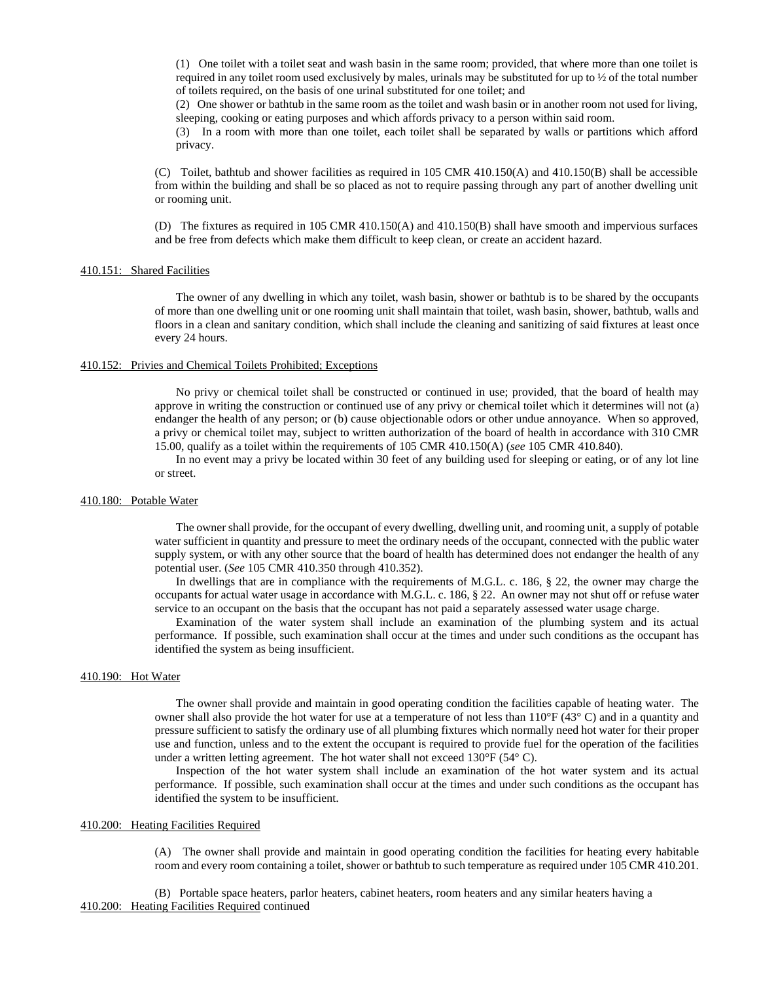(1) One toilet with a toilet seat and wash basin in the same room; provided, that where more than one toilet is required in any toilet room used exclusively by males, urinals may be substituted for up to ½ of the total number of toilets required, on the basis of one urinal substituted for one toilet; and

(2) One shower or bathtub in the same room as the toilet and wash basin or in another room not used for living, sleeping, cooking or eating purposes and which affords privacy to a person within said room.

(3) In a room with more than one toilet, each toilet shall be separated by walls or partitions which afford privacy.

(C) Toilet, bathtub and shower facilities as required in 105 CMR 410.150(A) and 410.150(B) shall be accessible from within the building and shall be so placed as not to require passing through any part of another dwelling unit or rooming unit.

(D) The fixtures as required in 105 CMR 410.150(A) and 410.150(B) shall have smooth and impervious surfaces and be free from defects which make them difficult to keep clean, or create an accident hazard.

#### 410.151: Shared Facilities

The owner of any dwelling in which any toilet, wash basin, shower or bathtub is to be shared by the occupants of more than one dwelling unit or one rooming unit shall maintain that toilet, wash basin, shower, bathtub, walls and floors in a clean and sanitary condition, which shall include the cleaning and sanitizing of said fixtures at least once every 24 hours.

### 410.152: Privies and Chemical Toilets Prohibited; Exceptions

No privy or chemical toilet shall be constructed or continued in use; provided, that the board of health may approve in writing the construction or continued use of any privy or chemical toilet which it determines will not (a) endanger the health of any person; or (b) cause objectionable odors or other undue annoyance. When so approved, a privy or chemical toilet may, subject to written authorization of the board of health in accordance with 310 CMR 15.00, qualify as a toilet within the requirements of 105 CMR 410.150(A) (*see* 105 CMR 410.840).

In no event may a privy be located within 30 feet of any building used for sleeping or eating, or of any lot line or street.

### 410.180: Potable Water

The owner shall provide, for the occupant of every dwelling, dwelling unit, and rooming unit, a supply of potable water sufficient in quantity and pressure to meet the ordinary needs of the occupant, connected with the public water supply system, or with any other source that the board of health has determined does not endanger the health of any potential user. (*See* 105 CMR 410.350 through 410.352).

In dwellings that are in compliance with the requirements of M.G.L. c. 186, § 22, the owner may charge the occupants for actual water usage in accordance with M.G.L. c. 186, § 22. An owner may not shut off or refuse water service to an occupant on the basis that the occupant has not paid a separately assessed water usage charge.

Examination of the water system shall include an examination of the plumbing system and its actual performance. If possible, such examination shall occur at the times and under such conditions as the occupant has identified the system as being insufficient.

# 410.190: Hot Water

The owner shall provide and maintain in good operating condition the facilities capable of heating water. The owner shall also provide the hot water for use at a temperature of not less than  $110^{\circ}F(43^{\circ}C)$  and in a quantity and pressure sufficient to satisfy the ordinary use of all plumbing fixtures which normally need hot water for their proper use and function, unless and to the extent the occupant is required to provide fuel for the operation of the facilities under a written letting agreement. The hot water shall not exceed 130°F (54° C).

Inspection of the hot water system shall include an examination of the hot water system and its actual performance. If possible, such examination shall occur at the times and under such conditions as the occupant has identified the system to be insufficient.

# 410.200: Heating Facilities Required

(A) The owner shall provide and maintain in good operating condition the facilities for heating every habitable room and every room containing a toilet, shower or bathtub to such temperature as required under 105 CMR 410.201.

(B) Portable space heaters, parlor heaters, cabinet heaters, room heaters and any similar heaters having a 410.200: Heating Facilities Required continued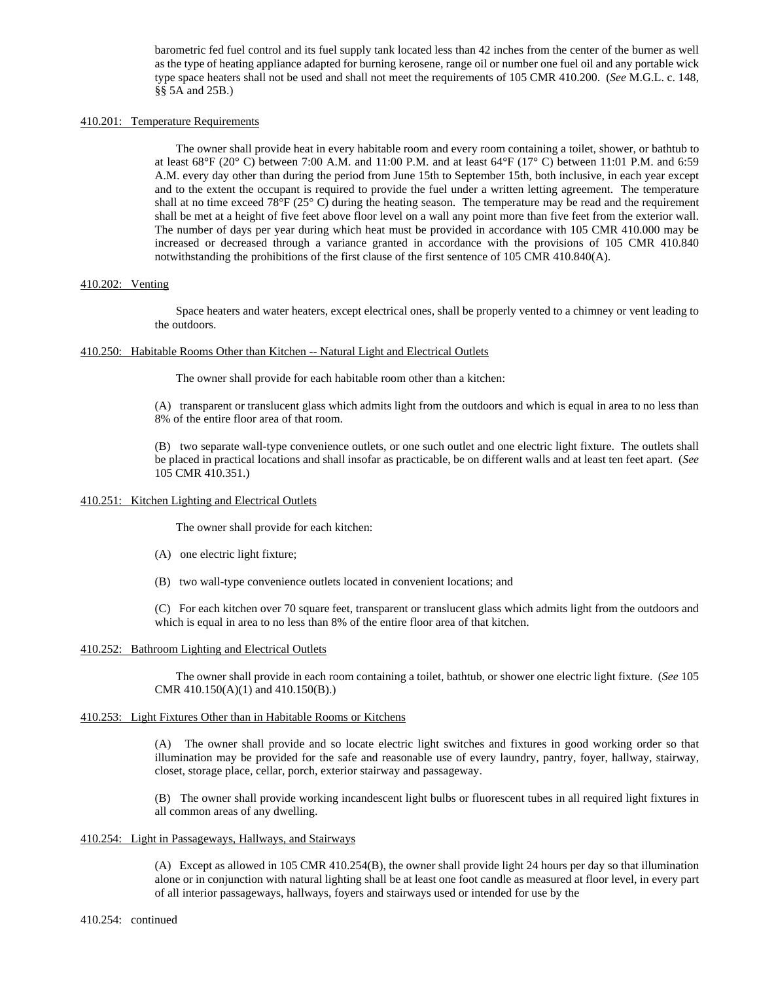barometric fed fuel control and its fuel supply tank located less than 42 inches from the center of the burner as well as the type of heating appliance adapted for burning kerosene, range oil or number one fuel oil and any portable wick type space heaters shall not be used and shall not meet the requirements of 105 CMR 410.200. (*See* M.G.L. c. 148, §§ 5A and 25B.)

# 410.201: Temperature Requirements

The owner shall provide heat in every habitable room and every room containing a toilet, shower, or bathtub to at least  $68^{\circ}F(20^{\circ}C)$  between 7:00 A.M. and 11:00 P.M. and at least  $64^{\circ}F(17^{\circ}C)$  between 11:01 P.M. and 6:59 A.M. every day other than during the period from June 15th to September 15th, both inclusive, in each year except and to the extent the occupant is required to provide the fuel under a written letting agreement. The temperature shall at no time exceed 78 $\rm{^{\circ}F}$  (25 $\rm{^{\circ}C}$ ) during the heating season. The temperature may be read and the requirement shall be met at a height of five feet above floor level on a wall any point more than five feet from the exterior wall. The number of days per year during which heat must be provided in accordance with 105 CMR 410.000 may be increased or decreased through a variance granted in accordance with the provisions of 105 CMR 410.840 notwithstanding the prohibitions of the first clause of the first sentence of 105 CMR 410.840(A).

### 410.202: Venting

Space heaters and water heaters, except electrical ones, shall be properly vented to a chimney or vent leading to the outdoors.

### 410.250: Habitable Rooms Other than Kitchen -- Natural Light and Electrical Outlets

The owner shall provide for each habitable room other than a kitchen:

(A) transparent or translucent glass which admits light from the outdoors and which is equal in area to no less than 8% of the entire floor area of that room.

(B) two separate wall-type convenience outlets, or one such outlet and one electric light fixture. The outlets shall be placed in practical locations and shall insofar as practicable, be on different walls and at least ten feet apart. (*See* 105 CMR 410.351.)

### 410.251: Kitchen Lighting and Electrical Outlets

The owner shall provide for each kitchen:

- (A) one electric light fixture;
- (B) two wall-type convenience outlets located in convenient locations; and

(C) For each kitchen over 70 square feet, transparent or translucent glass which admits light from the outdoors and which is equal in area to no less than 8% of the entire floor area of that kitchen.

# 410.252: Bathroom Lighting and Electrical Outlets

The owner shall provide in each room containing a toilet, bathtub, or shower one electric light fixture. (*See* 105 CMR 410.150(A)(1) and 410.150(B).)

# 410.253: Light Fixtures Other than in Habitable Rooms or Kitchens

(A) The owner shall provide and so locate electric light switches and fixtures in good working order so that illumination may be provided for the safe and reasonable use of every laundry, pantry, foyer, hallway, stairway, closet, storage place, cellar, porch, exterior stairway and passageway.

(B) The owner shall provide working incandescent light bulbs or fluorescent tubes in all required light fixtures in all common areas of any dwelling.

### 410.254: Light in Passageways, Hallways, and Stairways

(A) Except as allowed in 105 CMR 410.254(B), the owner shall provide light 24 hours per day so that illumination alone or in conjunction with natural lighting shall be at least one foot candle as measured at floor level, in every part of all interior passageways, hallways, foyers and stairways used or intended for use by the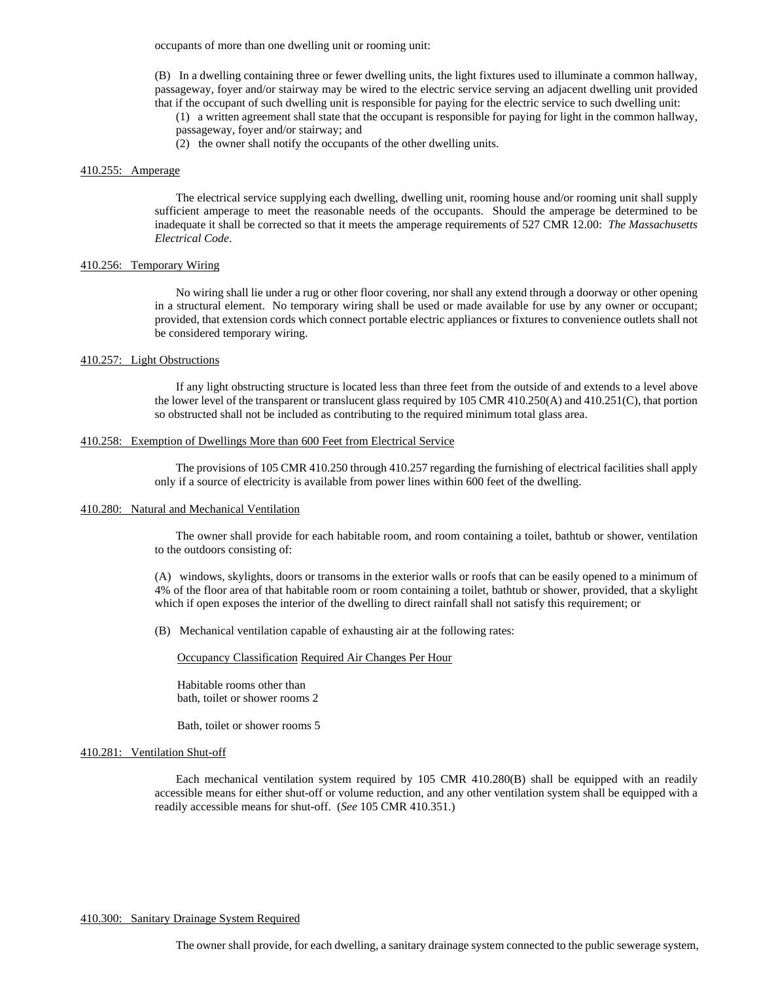occupants of more than one dwelling unit or rooming unit:

(B) In a dwelling containing three or fewer dwelling units, the light fixtures used to illuminate a common hallway, passageway, foyer and/or stairway may be wired to the electric service serving an adjacent dwelling unit provided that if the occupant of such dwelling unit is responsible for paying for the electric service to such dwelling unit:

(1) a written agreement shall state that the occupant is responsible for paying for light in the common hallway, passageway, foyer and/or stairway; and

(2) the owner shall notify the occupants of the other dwelling units.

# 410.255: Amperage

The electrical service supplying each dwelling, dwelling unit, rooming house and/or rooming unit shall supply sufficient amperage to meet the reasonable needs of the occupants. Should the amperage be determined to be inadequate it shall be corrected so that it meets the amperage requirements of 527 CMR 12.00: *The Massachusetts Electrical Code*.

# 410.256: Temporary Wiring

No wiring shall lie under a rug or other floor covering, nor shall any extend through a doorway or other opening in a structural element. No temporary wiring shall be used or made available for use by any owner or occupant; provided, that extension cords which connect portable electric appliances or fixtures to convenience outlets shall not be considered temporary wiring.

# 410.257: Light Obstructions

If any light obstructing structure is located less than three feet from the outside of and extends to a level above the lower level of the transparent or translucent glass required by 105 CMR 410.250(A) and 410.251(C), that portion so obstructed shall not be included as contributing to the required minimum total glass area.

#### 410.258: Exemption of Dwellings More than 600 Feet from Electrical Service

The provisions of 105 CMR 410.250 through 410.257 regarding the furnishing of electrical facilities shall apply only if a source of electricity is available from power lines within 600 feet of the dwelling.

### 410.280: Natural and Mechanical Ventilation

The owner shall provide for each habitable room, and room containing a toilet, bathtub or shower, ventilation to the outdoors consisting of:

(A) windows, skylights, doors or transoms in the exterior walls or roofs that can be easily opened to a minimum of 4% of the floor area of that habitable room or room containing a toilet, bathtub or shower, provided, that a skylight which if open exposes the interior of the dwelling to direct rainfall shall not satisfy this requirement; or

(B) Mechanical ventilation capable of exhausting air at the following rates:

Occupancy Classification Required Air Changes Per Hour

Habitable rooms other than bath, toilet or shower rooms 2

Bath, toilet or shower rooms 5

### 410.281: Ventilation Shut-off

Each mechanical ventilation system required by 105 CMR 410.280(B) shall be equipped with an readily accessible means for either shut-off or volume reduction, and any other ventilation system shall be equipped with a readily accessible means for shut-off. (*See* 105 CMR 410.351.)

# 410.300: Sanitary Drainage System Required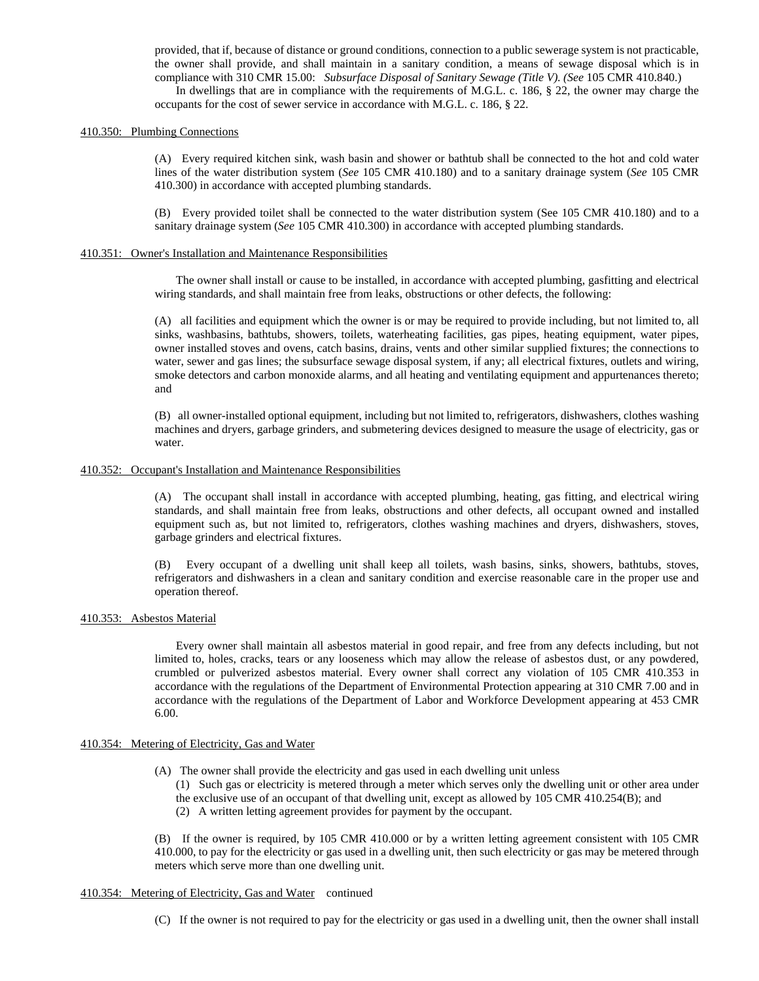provided, that if, because of distance or ground conditions, connection to a public sewerage system is not practicable, the owner shall provide, and shall maintain in a sanitary condition, a means of sewage disposal which is in compliance with 310 CMR 15.00: *Subsurface Disposal of Sanitary Sewage (Title V)*. *(See* 105 CMR 410.840.)

In dwellings that are in compliance with the requirements of M.G.L. c. 186, § 22, the owner may charge the occupants for the cost of sewer service in accordance with M.G.L. c. 186, § 22.

# 410.350: Plumbing Connections

(A) Every required kitchen sink, wash basin and shower or bathtub shall be connected to the hot and cold water lines of the water distribution system (*See* 105 CMR 410.180) and to a sanitary drainage system (*See* 105 CMR 410.300) in accordance with accepted plumbing standards.

(B) Every provided toilet shall be connected to the water distribution system (See 105 CMR 410.180) and to a sanitary drainage system (*See* 105 CMR 410.300) in accordance with accepted plumbing standards.

### 410.351: Owner's Installation and Maintenance Responsibilities

The owner shall install or cause to be installed, in accordance with accepted plumbing, gasfitting and electrical wiring standards, and shall maintain free from leaks, obstructions or other defects, the following:

(A) all facilities and equipment which the owner is or may be required to provide including, but not limited to, all sinks, washbasins, bathtubs, showers, toilets, waterheating facilities, gas pipes, heating equipment, water pipes, owner installed stoves and ovens, catch basins, drains, vents and other similar supplied fixtures; the connections to water, sewer and gas lines; the subsurface sewage disposal system, if any; all electrical fixtures, outlets and wiring, smoke detectors and carbon monoxide alarms, and all heating and ventilating equipment and appurtenances thereto; and

(B) all owner-installed optional equipment, including but not limited to, refrigerators, dishwashers, clothes washing machines and dryers, garbage grinders, and submetering devices designed to measure the usage of electricity, gas or water.

# 410.352: Occupant's Installation and Maintenance Responsibilities

(A) The occupant shall install in accordance with accepted plumbing, heating, gas fitting, and electrical wiring standards, and shall maintain free from leaks, obstructions and other defects, all occupant owned and installed equipment such as, but not limited to, refrigerators, clothes washing machines and dryers, dishwashers, stoves, garbage grinders and electrical fixtures.

(B) Every occupant of a dwelling unit shall keep all toilets, wash basins, sinks, showers, bathtubs, stoves, refrigerators and dishwashers in a clean and sanitary condition and exercise reasonable care in the proper use and operation thereof.

#### 410.353: Asbestos Material

Every owner shall maintain all asbestos material in good repair, and free from any defects including, but not limited to, holes, cracks, tears or any looseness which may allow the release of asbestos dust, or any powdered, crumbled or pulverized asbestos material. Every owner shall correct any violation of 105 CMR 410.353 in accordance with the regulations of the Department of Environmental Protection appearing at 310 CMR 7.00 and in accordance with the regulations of the Department of Labor and Workforce Development appearing at 453 CMR 6.00.

### 410.354: Metering of Electricity, Gas and Water

- (A) The owner shall provide the electricity and gas used in each dwelling unit unless
	- (1) Such gas or electricity is metered through a meter which serves only the dwelling unit or other area under the exclusive use of an occupant of that dwelling unit, except as allowed by 105 CMR 410.254(B); and
	- (2) A written letting agreement provides for payment by the occupant.

(B) If the owner is required, by 105 CMR 410.000 or by a written letting agreement consistent with 105 CMR 410.000, to pay for the electricity or gas used in a dwelling unit, then such electricity or gas may be metered through meters which serve more than one dwelling unit.

# 410.354: Metering of Electricity, Gas and Water continued

(C) If the owner is not required to pay for the electricity or gas used in a dwelling unit, then the owner shall install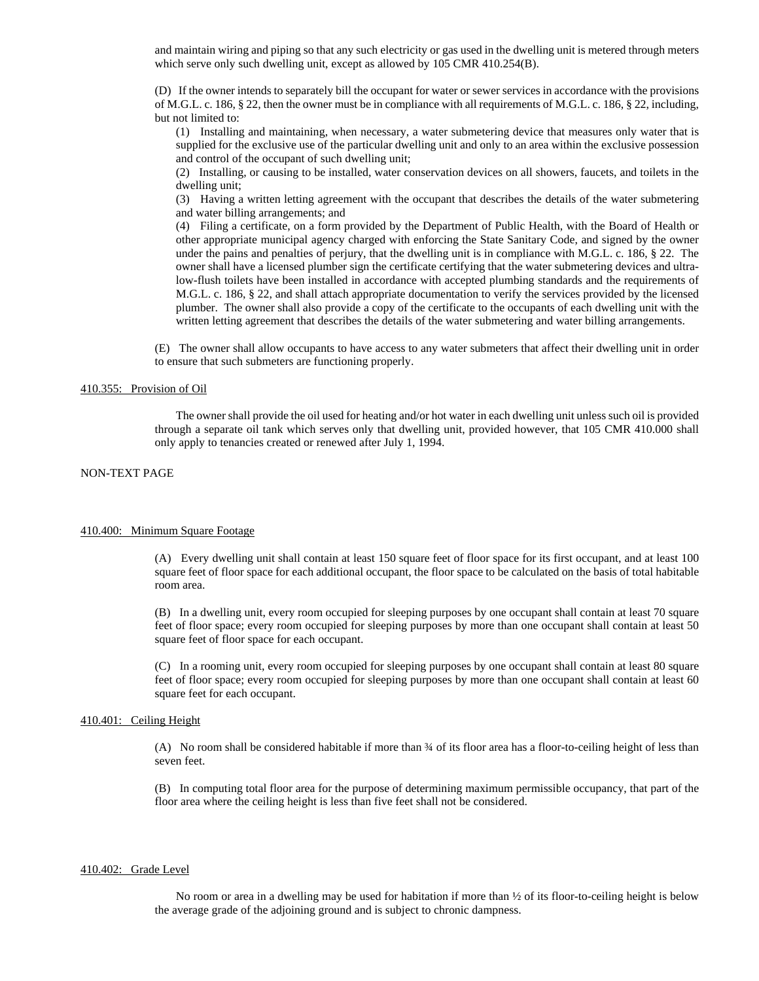and maintain wiring and piping so that any such electricity or gas used in the dwelling unit is metered through meters which serve only such dwelling unit, except as allowed by 105 CMR 410.254(B).

(D) If the owner intends to separately bill the occupant for water or sewer services in accordance with the provisions of M.G.L. c. 186, § 22, then the owner must be in compliance with all requirements of M.G.L. c. 186, § 22, including, but not limited to:

(1) Installing and maintaining, when necessary, a water submetering device that measures only water that is supplied for the exclusive use of the particular dwelling unit and only to an area within the exclusive possession and control of the occupant of such dwelling unit;

(2) Installing, or causing to be installed, water conservation devices on all showers, faucets, and toilets in the dwelling unit;

(3) Having a written letting agreement with the occupant that describes the details of the water submetering and water billing arrangements; and

(4) Filing a certificate, on a form provided by the Department of Public Health, with the Board of Health or other appropriate municipal agency charged with enforcing the State Sanitary Code, and signed by the owner under the pains and penalties of perjury, that the dwelling unit is in compliance with M.G.L. c. 186, § 22. The owner shall have a licensed plumber sign the certificate certifying that the water submetering devices and ultralow-flush toilets have been installed in accordance with accepted plumbing standards and the requirements of M.G.L. c. 186, § 22, and shall attach appropriate documentation to verify the services provided by the licensed plumber. The owner shall also provide a copy of the certificate to the occupants of each dwelling unit with the written letting agreement that describes the details of the water submetering and water billing arrangements.

(E) The owner shall allow occupants to have access to any water submeters that affect their dwelling unit in order to ensure that such submeters are functioning properly.

# 410.355: Provision of Oil

The owner shall provide the oil used for heating and/or hot water in each dwelling unit unless such oil is provided through a separate oil tank which serves only that dwelling unit, provided however, that 105 CMR 410.000 shall only apply to tenancies created or renewed after July 1, 1994.

# NON-TEXT PAGE

# 410.400: Minimum Square Footage

(A) Every dwelling unit shall contain at least 150 square feet of floor space for its first occupant, and at least 100 square feet of floor space for each additional occupant, the floor space to be calculated on the basis of total habitable room area.

(B) In a dwelling unit, every room occupied for sleeping purposes by one occupant shall contain at least 70 square feet of floor space; every room occupied for sleeping purposes by more than one occupant shall contain at least 50 square feet of floor space for each occupant.

(C) In a rooming unit, every room occupied for sleeping purposes by one occupant shall contain at least 80 square feet of floor space; every room occupied for sleeping purposes by more than one occupant shall contain at least 60 square feet for each occupant.

### 410.401: Ceiling Height

(A) No room shall be considered habitable if more than ¾ of its floor area has a floor-to-ceiling height of less than seven feet.

(B) In computing total floor area for the purpose of determining maximum permissible occupancy, that part of the floor area where the ceiling height is less than five feet shall not be considered.

### 410.402: Grade Level

No room or area in a dwelling may be used for habitation if more than ½ of its floor-to-ceiling height is below the average grade of the adjoining ground and is subject to chronic dampness.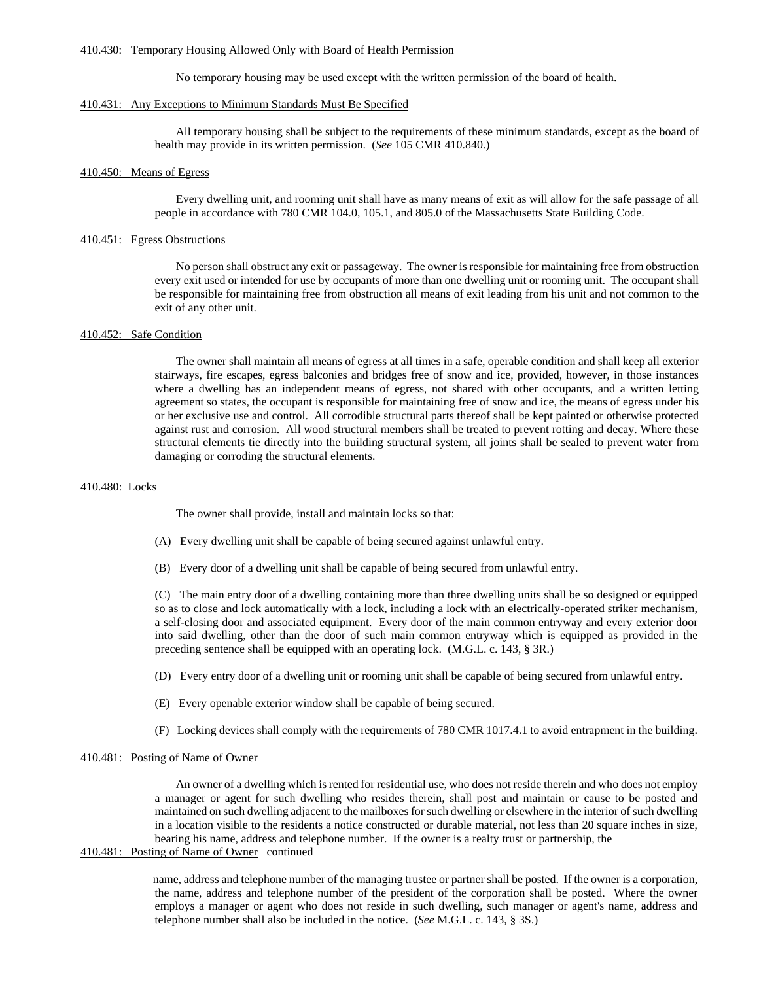### 410.430: Temporary Housing Allowed Only with Board of Health Permission

No temporary housing may be used except with the written permission of the board of health.

# 410.431: Any Exceptions to Minimum Standards Must Be Specified

All temporary housing shall be subject to the requirements of these minimum standards, except as the board of health may provide in its written permission. (*See* 105 CMR 410.840.)

### 410.450: Means of Egress

Every dwelling unit, and rooming unit shall have as many means of exit as will allow for the safe passage of all people in accordance with 780 CMR 104.0, 105.1, and 805.0 of the Massachusetts State Building Code.

# 410.451: Egress Obstructions

No person shall obstruct any exit or passageway. The owner is responsible for maintaining free from obstruction every exit used or intended for use by occupants of more than one dwelling unit or rooming unit. The occupant shall be responsible for maintaining free from obstruction all means of exit leading from his unit and not common to the exit of any other unit.

# 410.452: Safe Condition

The owner shall maintain all means of egress at all times in a safe, operable condition and shall keep all exterior stairways, fire escapes, egress balconies and bridges free of snow and ice, provided, however, in those instances where a dwelling has an independent means of egress, not shared with other occupants, and a written letting agreement so states, the occupant is responsible for maintaining free of snow and ice, the means of egress under his or her exclusive use and control. All corrodible structural parts thereof shall be kept painted or otherwise protected against rust and corrosion. All wood structural members shall be treated to prevent rotting and decay. Where these structural elements tie directly into the building structural system, all joints shall be sealed to prevent water from damaging or corroding the structural elements.

#### 410.480: Locks

The owner shall provide, install and maintain locks so that:

- (A) Every dwelling unit shall be capable of being secured against unlawful entry.
- (B) Every door of a dwelling unit shall be capable of being secured from unlawful entry.

(C) The main entry door of a dwelling containing more than three dwelling units shall be so designed or equipped so as to close and lock automatically with a lock, including a lock with an electrically-operated striker mechanism, a self-closing door and associated equipment. Every door of the main common entryway and every exterior door into said dwelling, other than the door of such main common entryway which is equipped as provided in the preceding sentence shall be equipped with an operating lock. (M.G.L. c. 143, § 3R.)

- (D) Every entry door of a dwelling unit or rooming unit shall be capable of being secured from unlawful entry.
- (E) Every openable exterior window shall be capable of being secured.
- (F) Locking devices shall comply with the requirements of 780 CMR 1017.4.1 to avoid entrapment in the building.

# 410.481: Posting of Name of Owner

An owner of a dwelling which is rented for residential use, who does not reside therein and who does not employ a manager or agent for such dwelling who resides therein, shall post and maintain or cause to be posted and maintained on such dwelling adjacent to the mailboxes for such dwelling or elsewhere in the interior of such dwelling in a location visible to the residents a notice constructed or durable material, not less than 20 square inches in size, bearing his name, address and telephone number. If the owner is a realty trust or partnership, the

# 410.481: Posting of Name of Owner continued

name, address and telephone number of the managing trustee or partner shall be posted. If the owner is a corporation, the name, address and telephone number of the president of the corporation shall be posted. Where the owner employs a manager or agent who does not reside in such dwelling, such manager or agent's name, address and telephone number shall also be included in the notice. (*See* M.G.L. c. 143, § 3S.)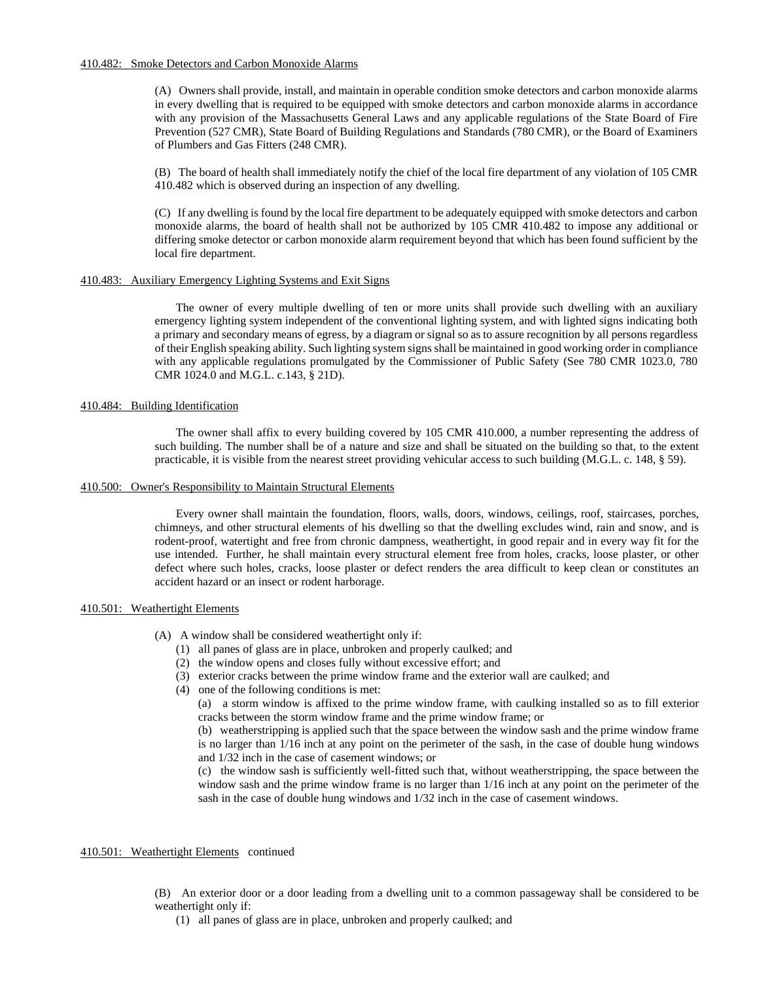# 410.482: Smoke Detectors and Carbon Monoxide Alarms

(A) Owners shall provide, install, and maintain in operable condition smoke detectors and carbon monoxide alarms in every dwelling that is required to be equipped with smoke detectors and carbon monoxide alarms in accordance with any provision of the Massachusetts General Laws and any applicable regulations of the State Board of Fire Prevention (527 CMR), State Board of Building Regulations and Standards (780 CMR), or the Board of Examiners of Plumbers and Gas Fitters (248 CMR).

(B) The board of health shall immediately notify the chief of the local fire department of any violation of 105 CMR 410.482 which is observed during an inspection of any dwelling.

(C) If any dwelling is found by the local fire department to be adequately equipped with smoke detectors and carbon monoxide alarms, the board of health shall not be authorized by 105 CMR 410.482 to impose any additional or differing smoke detector or carbon monoxide alarm requirement beyond that which has been found sufficient by the local fire department.

# 410.483: Auxiliary Emergency Lighting Systems and Exit Signs

The owner of every multiple dwelling of ten or more units shall provide such dwelling with an auxiliary emergency lighting system independent of the conventional lighting system, and with lighted signs indicating both a primary and secondary means of egress, by a diagram or signal so as to assure recognition by all persons regardless of their English speaking ability. Such lighting system signs shall be maintained in good working order in compliance with any applicable regulations promulgated by the Commissioner of Public Safety (See 780 CMR 1023.0, 780 CMR 1024.0 and M.G.L. c.143, § 21D).

# 410.484: Building Identification

The owner shall affix to every building covered by 105 CMR 410.000, a number representing the address of such building. The number shall be of a nature and size and shall be situated on the building so that, to the extent practicable, it is visible from the nearest street providing vehicular access to such building (M.G.L. c. 148, § 59).

# 410.500: Owner's Responsibility to Maintain Structural Elements

Every owner shall maintain the foundation, floors, walls, doors, windows, ceilings, roof, staircases, porches, chimneys, and other structural elements of his dwelling so that the dwelling excludes wind, rain and snow, and is rodent-proof, watertight and free from chronic dampness, weathertight, in good repair and in every way fit for the use intended. Further, he shall maintain every structural element free from holes, cracks, loose plaster, or other defect where such holes, cracks, loose plaster or defect renders the area difficult to keep clean or constitutes an accident hazard or an insect or rodent harborage.

# 410.501: Weathertight Elements

- (A) A window shall be considered weathertight only if:
	- (1) all panes of glass are in place, unbroken and properly caulked; and
	- (2) the window opens and closes fully without excessive effort; and
	- (3) exterior cracks between the prime window frame and the exterior wall are caulked; and
	- (4) one of the following conditions is met:
		- (a) a storm window is affixed to the prime window frame, with caulking installed so as to fill exterior cracks between the storm window frame and the prime window frame; or

(b) weatherstripping is applied such that the space between the window sash and the prime window frame is no larger than 1/16 inch at any point on the perimeter of the sash, in the case of double hung windows and 1/32 inch in the case of casement windows; or

(c) the window sash is sufficiently well-fitted such that, without weatherstripping, the space between the window sash and the prime window frame is no larger than 1/16 inch at any point on the perimeter of the sash in the case of double hung windows and 1/32 inch in the case of casement windows.

# 410.501: Weathertight Elements continued

- (B) An exterior door or a door leading from a dwelling unit to a common passageway shall be considered to be weathertight only if:
	- (1) all panes of glass are in place, unbroken and properly caulked; and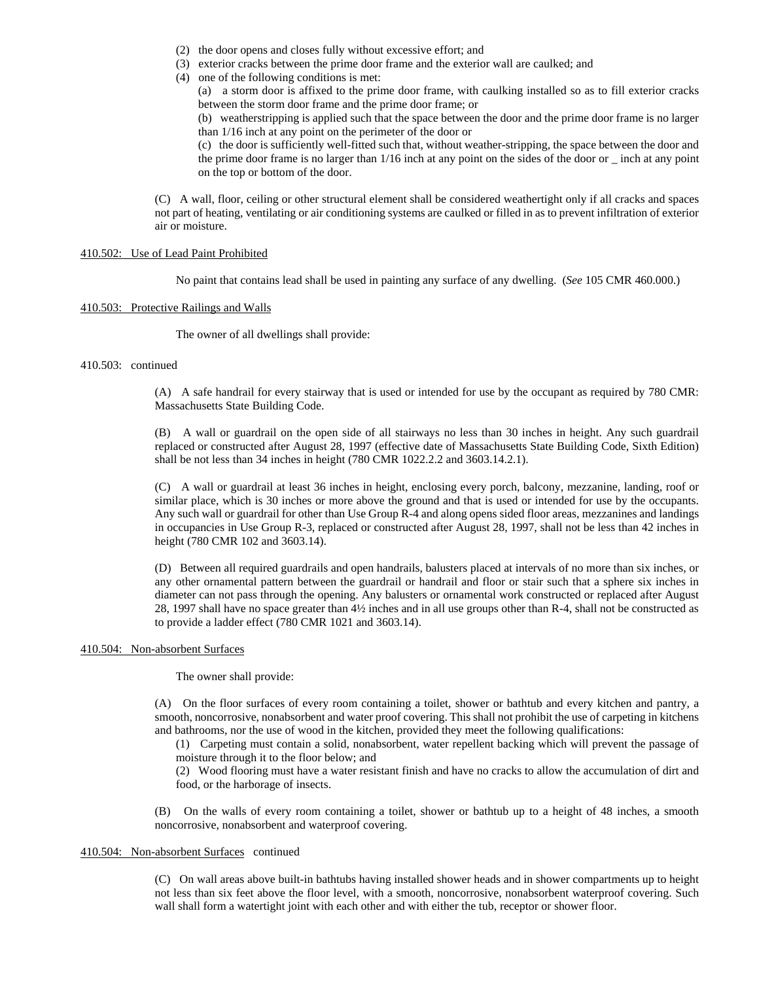- (2) the door opens and closes fully without excessive effort; and
- (3) exterior cracks between the prime door frame and the exterior wall are caulked; and
- (4) one of the following conditions is met:

(a) a storm door is affixed to the prime door frame, with caulking installed so as to fill exterior cracks between the storm door frame and the prime door frame; or

(b) weatherstripping is applied such that the space between the door and the prime door frame is no larger than 1/16 inch at any point on the perimeter of the door or

(c) the door is sufficiently well-fitted such that, without weather-stripping, the space between the door and the prime door frame is no larger than 1/16 inch at any point on the sides of the door or \_ inch at any point on the top or bottom of the door.

(C) A wall, floor, ceiling or other structural element shall be considered weathertight only if all cracks and spaces not part of heating, ventilating or air conditioning systems are caulked or filled in as to prevent infiltration of exterior air or moisture.

# 410.502: Use of Lead Paint Prohibited

No paint that contains lead shall be used in painting any surface of any dwelling. (*See* 105 CMR 460.000.)

# 410.503: Protective Railings and Walls

The owner of all dwellings shall provide:

# 410.503: continued

(A) A safe handrail for every stairway that is used or intended for use by the occupant as required by 780 CMR: Massachusetts State Building Code.

(B) A wall or guardrail on the open side of all stairways no less than 30 inches in height. Any such guardrail replaced or constructed after August 28, 1997 (effective date of Massachusetts State Building Code, Sixth Edition) shall be not less than 34 inches in height (780 CMR 1022.2.2 and 3603.14.2.1).

(C) A wall or guardrail at least 36 inches in height, enclosing every porch, balcony, mezzanine, landing, roof or similar place, which is 30 inches or more above the ground and that is used or intended for use by the occupants. Any such wall or guardrail for other than Use Group R-4 and along opens sided floor areas, mezzanines and landings in occupancies in Use Group R-3, replaced or constructed after August 28, 1997, shall not be less than 42 inches in height (780 CMR 102 and 3603.14).

(D) Between all required guardrails and open handrails, balusters placed at intervals of no more than six inches, or any other ornamental pattern between the guardrail or handrail and floor or stair such that a sphere six inches in diameter can not pass through the opening. Any balusters or ornamental work constructed or replaced after August 28, 1997 shall have no space greater than 4½ inches and in all use groups other than R-4, shall not be constructed as to provide a ladder effect (780 CMR 1021 and 3603.14).

### 410.504: Non-absorbent Surfaces

The owner shall provide:

(A) On the floor surfaces of every room containing a toilet, shower or bathtub and every kitchen and pantry, a smooth, noncorrosive, nonabsorbent and water proof covering. This shall not prohibit the use of carpeting in kitchens and bathrooms, nor the use of wood in the kitchen, provided they meet the following qualifications:

(1) Carpeting must contain a solid, nonabsorbent, water repellent backing which will prevent the passage of moisture through it to the floor below; and

(2) Wood flooring must have a water resistant finish and have no cracks to allow the accumulation of dirt and food, or the harborage of insects.

(B) On the walls of every room containing a toilet, shower or bathtub up to a height of 48 inches, a smooth noncorrosive, nonabsorbent and waterproof covering.

# 410.504: Non-absorbent Surfaces continued

(C) On wall areas above built-in bathtubs having installed shower heads and in shower compartments up to height not less than six feet above the floor level, with a smooth, noncorrosive, nonabsorbent waterproof covering. Such wall shall form a watertight joint with each other and with either the tub, receptor or shower floor.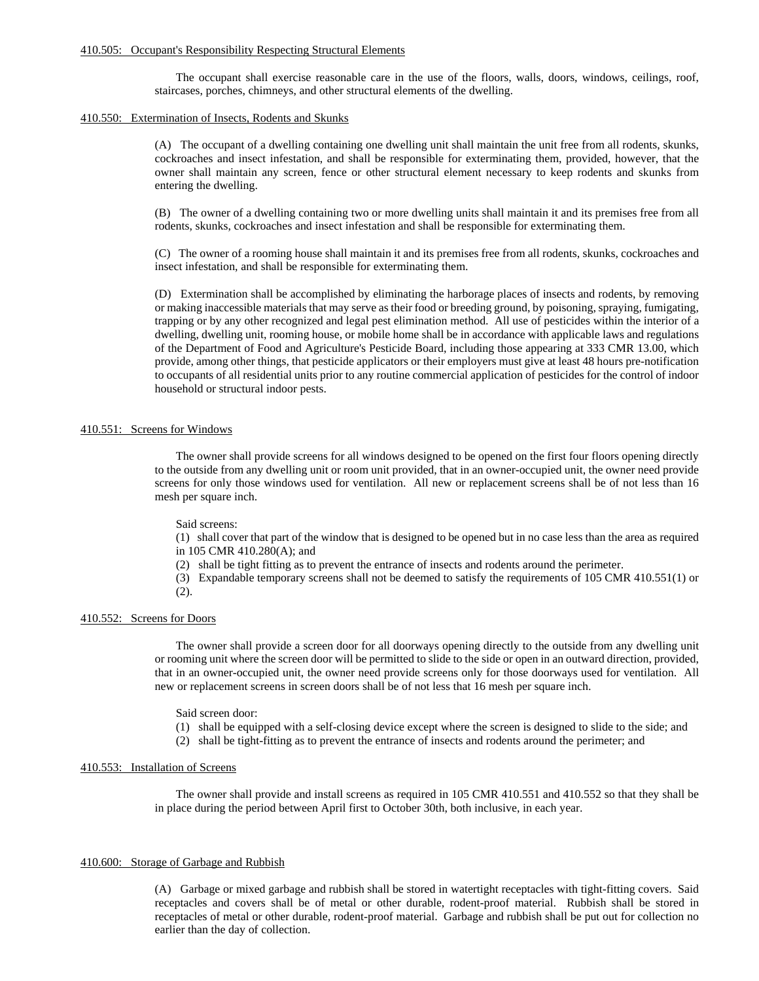### 410.505: Occupant's Responsibility Respecting Structural Elements

The occupant shall exercise reasonable care in the use of the floors, walls, doors, windows, ceilings, roof, staircases, porches, chimneys, and other structural elements of the dwelling.

### 410.550: Extermination of Insects, Rodents and Skunks

(A) The occupant of a dwelling containing one dwelling unit shall maintain the unit free from all rodents, skunks, cockroaches and insect infestation, and shall be responsible for exterminating them, provided, however, that the owner shall maintain any screen, fence or other structural element necessary to keep rodents and skunks from entering the dwelling.

(B) The owner of a dwelling containing two or more dwelling units shall maintain it and its premises free from all rodents, skunks, cockroaches and insect infestation and shall be responsible for exterminating them.

(C) The owner of a rooming house shall maintain it and its premises free from all rodents, skunks, cockroaches and insect infestation, and shall be responsible for exterminating them.

(D) Extermination shall be accomplished by eliminating the harborage places of insects and rodents, by removing or making inaccessible materials that may serve as their food or breeding ground, by poisoning, spraying, fumigating, trapping or by any other recognized and legal pest elimination method. All use of pesticides within the interior of a dwelling, dwelling unit, rooming house, or mobile home shall be in accordance with applicable laws and regulations of the Department of Food and Agriculture's Pesticide Board, including those appearing at 333 CMR 13.00, which provide, among other things, that pesticide applicators or their employers must give at least 48 hours pre-notification to occupants of all residential units prior to any routine commercial application of pesticides for the control of indoor household or structural indoor pests.

# 410.551: Screens for Windows

The owner shall provide screens for all windows designed to be opened on the first four floors opening directly to the outside from any dwelling unit or room unit provided, that in an owner-occupied unit, the owner need provide screens for only those windows used for ventilation. All new or replacement screens shall be of not less than 16 mesh per square inch.

### Said screens:

(1) shall cover that part of the window that is designed to be opened but in no case less than the area as required in 105 CMR 410.280(A); and

(2) shall be tight fitting as to prevent the entrance of insects and rodents around the perimeter.

(3) Expandable temporary screens shall not be deemed to satisfy the requirements of 105 CMR 410.551(1) or  $(2)$ .

#### 410.552: Screens for Doors

The owner shall provide a screen door for all doorways opening directly to the outside from any dwelling unit or rooming unit where the screen door will be permitted to slide to the side or open in an outward direction, provided, that in an owner-occupied unit, the owner need provide screens only for those doorways used for ventilation. All new or replacement screens in screen doors shall be of not less that 16 mesh per square inch.

# Said screen door:

- (1) shall be equipped with a self-closing device except where the screen is designed to slide to the side; and
- (2) shall be tight-fitting as to prevent the entrance of insects and rodents around the perimeter; and

#### 410.553: Installation of Screens

The owner shall provide and install screens as required in 105 CMR 410.551 and 410.552 so that they shall be in place during the period between April first to October 30th, both inclusive, in each year.

#### 410.600: Storage of Garbage and Rubbish

(A) Garbage or mixed garbage and rubbish shall be stored in watertight receptacles with tight-fitting covers. Said receptacles and covers shall be of metal or other durable, rodent-proof material. Rubbish shall be stored in receptacles of metal or other durable, rodent-proof material. Garbage and rubbish shall be put out for collection no earlier than the day of collection.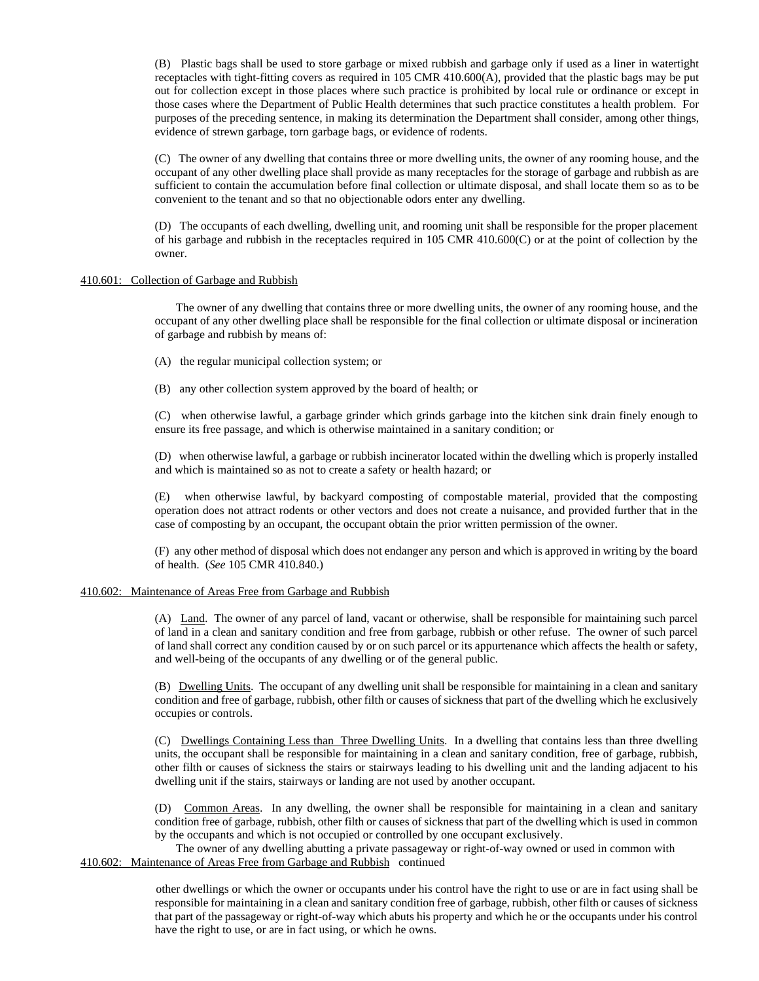(B) Plastic bags shall be used to store garbage or mixed rubbish and garbage only if used as a liner in watertight receptacles with tight-fitting covers as required in 105 CMR 410.600(A), provided that the plastic bags may be put out for collection except in those places where such practice is prohibited by local rule or ordinance or except in those cases where the Department of Public Health determines that such practice constitutes a health problem. For purposes of the preceding sentence, in making its determination the Department shall consider, among other things, evidence of strewn garbage, torn garbage bags, or evidence of rodents.

(C) The owner of any dwelling that contains three or more dwelling units, the owner of any rooming house, and the occupant of any other dwelling place shall provide as many receptacles for the storage of garbage and rubbish as are sufficient to contain the accumulation before final collection or ultimate disposal, and shall locate them so as to be convenient to the tenant and so that no objectionable odors enter any dwelling.

(D) The occupants of each dwelling, dwelling unit, and rooming unit shall be responsible for the proper placement of his garbage and rubbish in the receptacles required in 105 CMR 410.600(C) or at the point of collection by the owner.

# 410.601: Collection of Garbage and Rubbish

The owner of any dwelling that contains three or more dwelling units, the owner of any rooming house, and the occupant of any other dwelling place shall be responsible for the final collection or ultimate disposal or incineration of garbage and rubbish by means of:

- (A) the regular municipal collection system; or
- (B) any other collection system approved by the board of health; or

(C) when otherwise lawful, a garbage grinder which grinds garbage into the kitchen sink drain finely enough to ensure its free passage, and which is otherwise maintained in a sanitary condition; or

(D) when otherwise lawful, a garbage or rubbish incinerator located within the dwelling which is properly installed and which is maintained so as not to create a safety or health hazard; or

(E) when otherwise lawful, by backyard composting of compostable material, provided that the composting operation does not attract rodents or other vectors and does not create a nuisance, and provided further that in the case of composting by an occupant, the occupant obtain the prior written permission of the owner.

(F) any other method of disposal which does not endanger any person and which is approved in writing by the board of health. (*See* 105 CMR 410.840.)

# 410.602: Maintenance of Areas Free from Garbage and Rubbish

(A) Land. The owner of any parcel of land, vacant or otherwise, shall be responsible for maintaining such parcel of land in a clean and sanitary condition and free from garbage, rubbish or other refuse. The owner of such parcel of land shall correct any condition caused by or on such parcel or its appurtenance which affects the health or safety, and well-being of the occupants of any dwelling or of the general public.

(B) Dwelling Units. The occupant of any dwelling unit shall be responsible for maintaining in a clean and sanitary condition and free of garbage, rubbish, other filth or causes of sickness that part of the dwelling which he exclusively occupies or controls.

(C) Dwellings Containing Less than Three Dwelling Units. In a dwelling that contains less than three dwelling units, the occupant shall be responsible for maintaining in a clean and sanitary condition, free of garbage, rubbish, other filth or causes of sickness the stairs or stairways leading to his dwelling unit and the landing adjacent to his dwelling unit if the stairs, stairways or landing are not used by another occupant.

(D) Common Areas. In any dwelling, the owner shall be responsible for maintaining in a clean and sanitary condition free of garbage, rubbish, other filth or causes of sickness that part of the dwelling which is used in common by the occupants and which is not occupied or controlled by one occupant exclusively.

The owner of any dwelling abutting a private passageway or right-of-way owned or used in common with 410.602: Maintenance of Areas Free from Garbage and Rubbish continued

> other dwellings or which the owner or occupants under his control have the right to use or are in fact using shall be responsible for maintaining in a clean and sanitary condition free of garbage, rubbish, other filth or causes of sickness that part of the passageway or right-of-way which abuts his property and which he or the occupants under his control have the right to use, or are in fact using, or which he owns.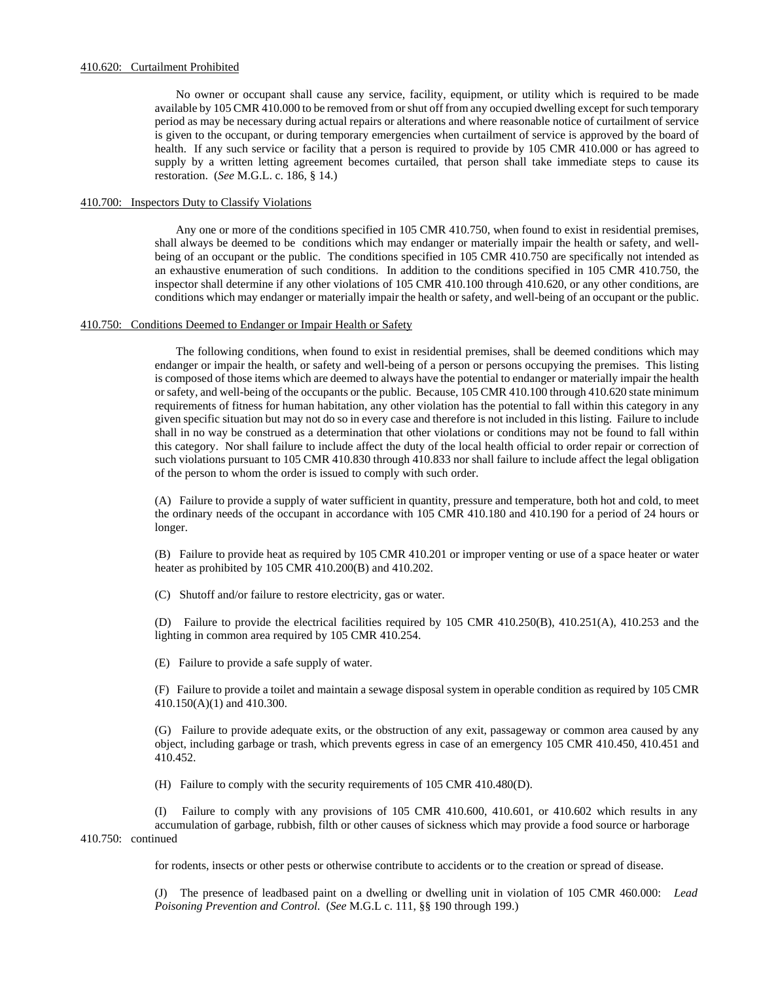# 410.620: Curtailment Prohibited

No owner or occupant shall cause any service, facility, equipment, or utility which is required to be made available by 105 CMR 410.000 to be removed from or shut off from any occupied dwelling except for such temporary period as may be necessary during actual repairs or alterations and where reasonable notice of curtailment of service is given to the occupant, or during temporary emergencies when curtailment of service is approved by the board of health. If any such service or facility that a person is required to provide by 105 CMR 410.000 or has agreed to supply by a written letting agreement becomes curtailed, that person shall take immediate steps to cause its restoration. (*See* M.G.L. c. 186, § 14.)

# 410.700: Inspectors Duty to Classify Violations

Any one or more of the conditions specified in 105 CMR 410.750, when found to exist in residential premises, shall always be deemed to be conditions which may endanger or materially impair the health or safety, and wellbeing of an occupant or the public. The conditions specified in 105 CMR 410.750 are specifically not intended as an exhaustive enumeration of such conditions. In addition to the conditions specified in 105 CMR 410.750, the inspector shall determine if any other violations of 105 CMR 410.100 through 410.620, or any other conditions, are conditions which may endanger or materially impair the health or safety, and well-being of an occupant or the public.

# 410.750: Conditions Deemed to Endanger or Impair Health or Safety

The following conditions, when found to exist in residential premises, shall be deemed conditions which may endanger or impair the health, or safety and well-being of a person or persons occupying the premises. This listing is composed of those items which are deemed to always have the potential to endanger or materially impair the health or safety, and well-being of the occupants or the public. Because, 105 CMR 410.100 through 410.620 state minimum requirements of fitness for human habitation, any other violation has the potential to fall within this category in any given specific situation but may not do so in every case and therefore is not included in this listing. Failure to include shall in no way be construed as a determination that other violations or conditions may not be found to fall within this category. Nor shall failure to include affect the duty of the local health official to order repair or correction of such violations pursuant to 105 CMR 410.830 through 410.833 nor shall failure to include affect the legal obligation of the person to whom the order is issued to comply with such order.

(A) Failure to provide a supply of water sufficient in quantity, pressure and temperature, both hot and cold, to meet the ordinary needs of the occupant in accordance with 105 CMR 410.180 and 410.190 for a period of 24 hours or longer.

(B) Failure to provide heat as required by 105 CMR 410.201 or improper venting or use of a space heater or water heater as prohibited by 105 CMR 410.200(B) and 410.202.

(C) Shutoff and/or failure to restore electricity, gas or water.

(D) Failure to provide the electrical facilities required by 105 CMR 410.250(B), 410.251(A), 410.253 and the lighting in common area required by 105 CMR 410.254.

(E) Failure to provide a safe supply of water.

(F) Failure to provide a toilet and maintain a sewage disposal system in operable condition as required by 105 CMR 410.150(A)(1) and 410.300.

(G) Failure to provide adequate exits, or the obstruction of any exit, passageway or common area caused by any object, including garbage or trash, which prevents egress in case of an emergency 105 CMR 410.450, 410.451 and 410.452.

(H) Failure to comply with the security requirements of 105 CMR 410.480(D).

(I) Failure to comply with any provisions of 105 CMR 410.600, 410.601, or 410.602 which results in any accumulation of garbage, rubbish, filth or other causes of sickness which may provide a food source or harborage 410.750: continued

for rodents, insects or other pests or otherwise contribute to accidents or to the creation or spread of disease.

(J) The presence of leadbased paint on a dwelling or dwelling unit in violation of 105 CMR 460.000: *Lead Poisoning Prevention and Control*. (*See* M.G.L c. 111, §§ 190 through 199.)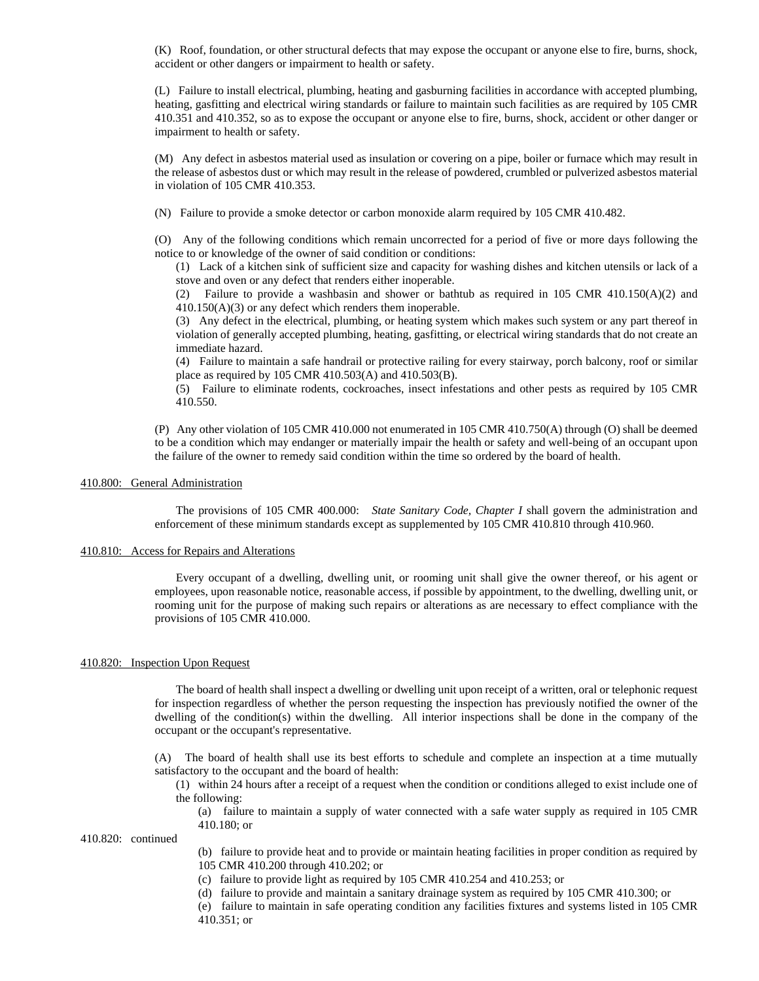(K) Roof, foundation, or other structural defects that may expose the occupant or anyone else to fire, burns, shock, accident or other dangers or impairment to health or safety.

(L) Failure to install electrical, plumbing, heating and gasburning facilities in accordance with accepted plumbing, heating, gasfitting and electrical wiring standards or failure to maintain such facilities as are required by 105 CMR 410.351 and 410.352, so as to expose the occupant or anyone else to fire, burns, shock, accident or other danger or impairment to health or safety.

(M) Any defect in asbestos material used as insulation or covering on a pipe, boiler or furnace which may result in the release of asbestos dust or which may result in the release of powdered, crumbled or pulverized asbestos material in violation of 105 CMR 410.353.

(N) Failure to provide a smoke detector or carbon monoxide alarm required by 105 CMR 410.482.

(O) Any of the following conditions which remain uncorrected for a period of five or more days following the notice to or knowledge of the owner of said condition or conditions:

(1) Lack of a kitchen sink of sufficient size and capacity for washing dishes and kitchen utensils or lack of a stove and oven or any defect that renders either inoperable.

(2) Failure to provide a washbasin and shower or bathtub as required in 105 CMR 410.150(A)(2) and 410.150(A)(3) or any defect which renders them inoperable.

(3) Any defect in the electrical, plumbing, or heating system which makes such system or any part thereof in violation of generally accepted plumbing, heating, gasfitting, or electrical wiring standards that do not create an immediate hazard.

(4) Failure to maintain a safe handrail or protective railing for every stairway, porch balcony, roof or similar place as required by 105 CMR 410.503(A) and 410.503(B).

(5) Failure to eliminate rodents, cockroaches, insect infestations and other pests as required by 105 CMR 410.550.

(P) Any other violation of 105 CMR 410.000 not enumerated in 105 CMR 410.750(A) through (O) shall be deemed to be a condition which may endanger or materially impair the health or safety and well-being of an occupant upon the failure of the owner to remedy said condition within the time so ordered by the board of health.

# 410.800: General Administration

The provisions of 105 CMR 400.000: *State Sanitary Code, Chapter I* shall govern the administration and enforcement of these minimum standards except as supplemented by 105 CMR 410.810 through 410.960.

# 410.810: Access for Repairs and Alterations

Every occupant of a dwelling, dwelling unit, or rooming unit shall give the owner thereof, or his agent or employees, upon reasonable notice, reasonable access, if possible by appointment, to the dwelling, dwelling unit, or rooming unit for the purpose of making such repairs or alterations as are necessary to effect compliance with the provisions of 105 CMR 410.000.

## 410.820: Inspection Upon Request

The board of health shall inspect a dwelling or dwelling unit upon receipt of a written, oral or telephonic request for inspection regardless of whether the person requesting the inspection has previously notified the owner of the dwelling of the condition(s) within the dwelling. All interior inspections shall be done in the company of the occupant or the occupant's representative.

(A) The board of health shall use its best efforts to schedule and complete an inspection at a time mutually satisfactory to the occupant and the board of health:

(1) within 24 hours after a receipt of a request when the condition or conditions alleged to exist include one of the following:

(a) failure to maintain a supply of water connected with a safe water supply as required in 105 CMR 410.180; or

410.820: continued

(b) failure to provide heat and to provide or maintain heating facilities in proper condition as required by 105 CMR 410.200 through 410.202; or

- (c) failure to provide light as required by 105 CMR 410.254 and 410.253; or
- (d) failure to provide and maintain a sanitary drainage system as required by 105 CMR 410.300; or

(e) failure to maintain in safe operating condition any facilities fixtures and systems listed in 105 CMR 410.351; or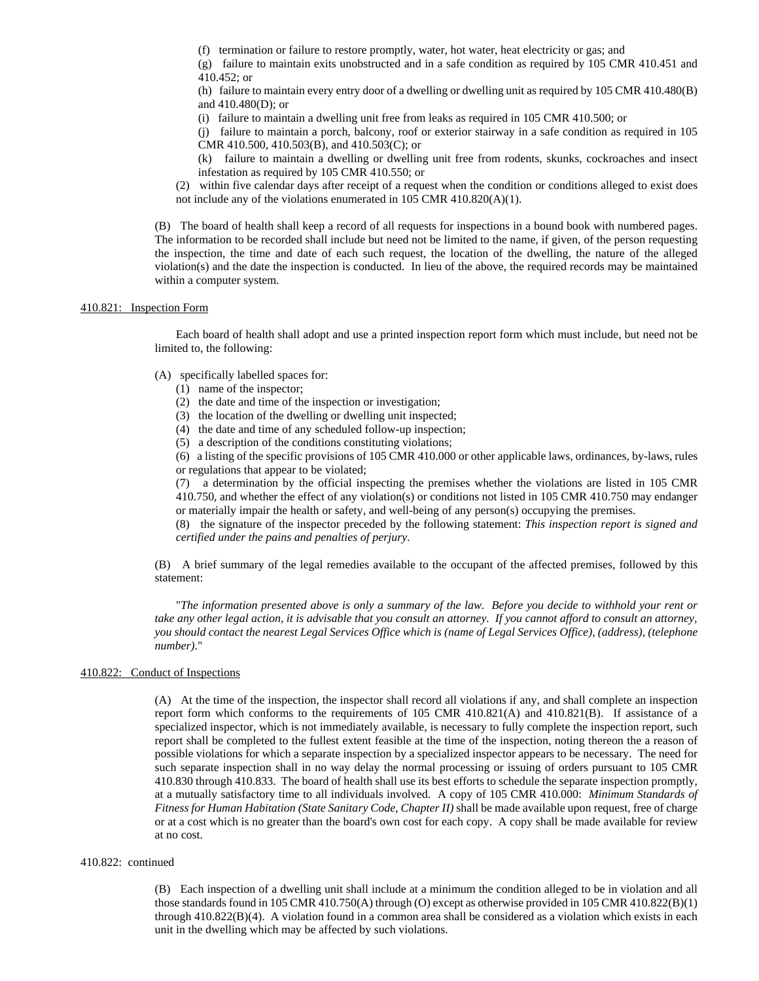(f) termination or failure to restore promptly, water, hot water, heat electricity or gas; and

(g) failure to maintain exits unobstructed and in a safe condition as required by 105 CMR 410.451 and 410.452; or

(h) failure to maintain every entry door of a dwelling or dwelling unit as required by 105 CMR 410.480(B) and 410.480(D); or

(i) failure to maintain a dwelling unit free from leaks as required in 105 CMR 410.500; or

(j) failure to maintain a porch, balcony, roof or exterior stairway in a safe condition as required in 105 CMR 410.500, 410.503(B), and 410.503(C); or

(k) failure to maintain a dwelling or dwelling unit free from rodents, skunks, cockroaches and insect infestation as required by 105 CMR 410.550; or

(2) within five calendar days after receipt of a request when the condition or conditions alleged to exist does not include any of the violations enumerated in 105 CMR 410.820(A)(1).

(B) The board of health shall keep a record of all requests for inspections in a bound book with numbered pages. The information to be recorded shall include but need not be limited to the name, if given, of the person requesting the inspection, the time and date of each such request, the location of the dwelling, the nature of the alleged violation(s) and the date the inspection is conducted. In lieu of the above, the required records may be maintained within a computer system.

# 410.821: Inspection Form

Each board of health shall adopt and use a printed inspection report form which must include, but need not be limited to, the following:

# (A) specifically labelled spaces for:

- (1) name of the inspector;
- (2) the date and time of the inspection or investigation;
- (3) the location of the dwelling or dwelling unit inspected;
- (4) the date and time of any scheduled follow-up inspection;
- (5) a description of the conditions constituting violations;

(6) a listing of the specific provisions of 105 CMR 410.000 or other applicable laws, ordinances, by-laws, rules or regulations that appear to be violated;

(7) a determination by the official inspecting the premises whether the violations are listed in 105 CMR 410.750, and whether the effect of any violation(s) or conditions not listed in 105 CMR 410.750 may endanger or materially impair the health or safety, and well-being of any person(s) occupying the premises.

(8) the signature of the inspector preceded by the following statement: *This inspection report is signed and certified under the pains and penalties of perjury*.

(B) A brief summary of the legal remedies available to the occupant of the affected premises, followed by this statement:

"*The information presented above is only a summary of the law. Before you decide to withhold your rent or take any other legal action, it is advisable that you consult an attorney. If you cannot afford to consult an attorney, you should contact the nearest Legal Services Office which is (name of Legal Services Office), (address), (telephone number)*."

# 410.822: Conduct of Inspections

(A) At the time of the inspection, the inspector shall record all violations if any, and shall complete an inspection report form which conforms to the requirements of 105 CMR 410.821(A) and 410.821(B). If assistance of a specialized inspector, which is not immediately available, is necessary to fully complete the inspection report, such report shall be completed to the fullest extent feasible at the time of the inspection, noting thereon the a reason of possible violations for which a separate inspection by a specialized inspector appears to be necessary. The need for such separate inspection shall in no way delay the normal processing or issuing of orders pursuant to 105 CMR 410.830 through 410.833. The board of health shall use its best efforts to schedule the separate inspection promptly, at a mutually satisfactory time to all individuals involved. A copy of 105 CMR 410.000: *Minimum Standards of Fitness for Human Habitation (State Sanitary Code, Chapter II)* shall be made available upon request, free of charge or at a cost which is no greater than the board's own cost for each copy. A copy shall be made available for review at no cost.

### 410.822: continued

(B) Each inspection of a dwelling unit shall include at a minimum the condition alleged to be in violation and all those standards found in 105 CMR 410.750(A) through (O) except as otherwise provided in 105 CMR 410.822(B)(1) through 410.822(B)(4). A violation found in a common area shall be considered as a violation which exists in each unit in the dwelling which may be affected by such violations.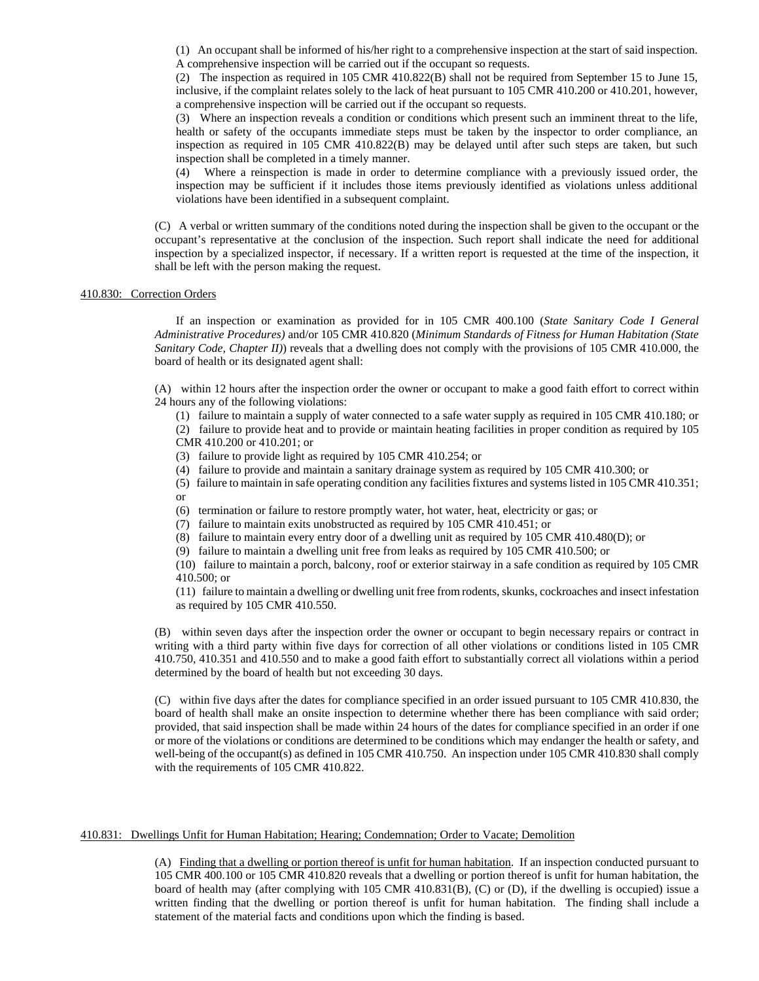(1) An occupant shall be informed of his/her right to a comprehensive inspection at the start of said inspection. A comprehensive inspection will be carried out if the occupant so requests.

(2) The inspection as required in 105 CMR 410.822(B) shall not be required from September 15 to June 15, inclusive, if the complaint relates solely to the lack of heat pursuant to 105 CMR 410.200 or 410.201, however, a comprehensive inspection will be carried out if the occupant so requests.

(3) Where an inspection reveals a condition or conditions which present such an imminent threat to the life, health or safety of the occupants immediate steps must be taken by the inspector to order compliance, an inspection as required in 105 CMR 410.822(B) may be delayed until after such steps are taken, but such inspection shall be completed in a timely manner.

(4) Where a reinspection is made in order to determine compliance with a previously issued order, the inspection may be sufficient if it includes those items previously identified as violations unless additional violations have been identified in a subsequent complaint.

(C) A verbal or written summary of the conditions noted during the inspection shall be given to the occupant or the occupant's representative at the conclusion of the inspection. Such report shall indicate the need for additional inspection by a specialized inspector, if necessary. If a written report is requested at the time of the inspection, it shall be left with the person making the request.

# 410.830: Correction Orders

If an inspection or examination as provided for in 105 CMR 400.100 (*State Sanitary Code I General Administrative Procedures)* and/or 105 CMR 410.820 (*Minimum Standards of Fitness for Human Habitation (State Sanitary Code, Chapter II)*) reveals that a dwelling does not comply with the provisions of 105 CMR 410.000, the board of health or its designated agent shall:

(A) within 12 hours after the inspection order the owner or occupant to make a good faith effort to correct within 24 hours any of the following violations:

(1) failure to maintain a supply of water connected to a safe water supply as required in 105 CMR 410.180; or (2) failure to provide heat and to provide or maintain heating facilities in proper condition as required by 105 CMR 410.200 or 410.201; or

(3) failure to provide light as required by 105 CMR 410.254; or

(4) failure to provide and maintain a sanitary drainage system as required by 105 CMR 410.300; or

(5) failure to maintain in safe operating condition any facilities fixtures and systems listed in 105 CMR 410.351; or

(6) termination or failure to restore promptly water, hot water, heat, electricity or gas; or

(7) failure to maintain exits unobstructed as required by 105 CMR 410.451; or

(8) failure to maintain every entry door of a dwelling unit as required by 105 CMR 410.480(D); or

(9) failure to maintain a dwelling unit free from leaks as required by 105 CMR 410.500; or

(10) failure to maintain a porch, balcony, roof or exterior stairway in a safe condition as required by 105 CMR 410.500; or

(11) failure to maintain a dwelling or dwelling unit free from rodents, skunks, cockroaches and insect infestation as required by 105 CMR 410.550.

(B) within seven days after the inspection order the owner or occupant to begin necessary repairs or contract in writing with a third party within five days for correction of all other violations or conditions listed in 105 CMR 410.750, 410.351 and 410.550 and to make a good faith effort to substantially correct all violations within a period determined by the board of health but not exceeding 30 days.

(C) within five days after the dates for compliance specified in an order issued pursuant to 105 CMR 410.830, the board of health shall make an onsite inspection to determine whether there has been compliance with said order; provided, that said inspection shall be made within 24 hours of the dates for compliance specified in an order if one or more of the violations or conditions are determined to be conditions which may endanger the health or safety, and well-being of the occupant(s) as defined in 105 CMR 410.750. An inspection under 105 CMR 410.830 shall comply with the requirements of 105 CMR 410.822.

# 410.831: Dwellings Unfit for Human Habitation; Hearing; Condemnation; Order to Vacate; Demolition

(A) Finding that a dwelling or portion thereof is unfit for human habitation. If an inspection conducted pursuant to 105 CMR 400.100 or 105 CMR 410.820 reveals that a dwelling or portion thereof is unfit for human habitation, the board of health may (after complying with 105 CMR 410.831(B), (C) or (D), if the dwelling is occupied) issue a written finding that the dwelling or portion thereof is unfit for human habitation. The finding shall include a statement of the material facts and conditions upon which the finding is based.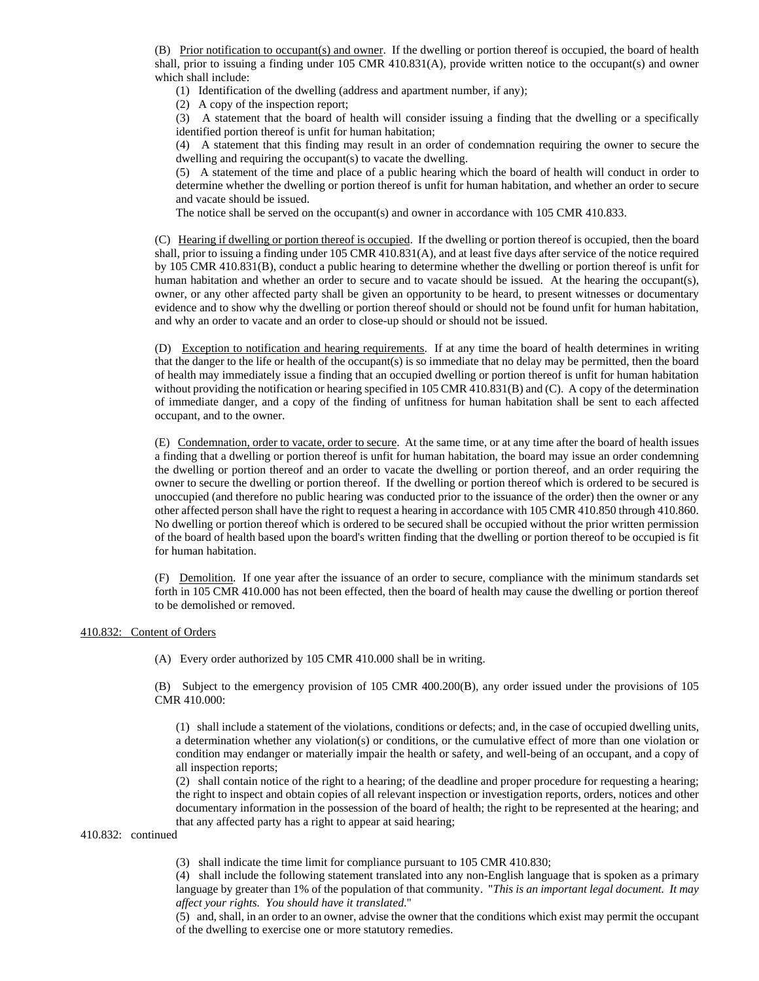(B) Prior notification to occupant(s) and owner. If the dwelling or portion thereof is occupied, the board of health shall, prior to issuing a finding under 105 CMR 410.831(A), provide written notice to the occupant(s) and owner which shall include:

(1) Identification of the dwelling (address and apartment number, if any);

(2) A copy of the inspection report;

(3) A statement that the board of health will consider issuing a finding that the dwelling or a specifically identified portion thereof is unfit for human habitation;

(4) A statement that this finding may result in an order of condemnation requiring the owner to secure the dwelling and requiring the occupant(s) to vacate the dwelling.

(5) A statement of the time and place of a public hearing which the board of health will conduct in order to determine whether the dwelling or portion thereof is unfit for human habitation, and whether an order to secure and vacate should be issued.

The notice shall be served on the occupant(s) and owner in accordance with 105 CMR 410.833.

(C) Hearing if dwelling or portion thereof is occupied. If the dwelling or portion thereof is occupied, then the board shall, prior to issuing a finding under 105 CMR 410.831(A), and at least five days after service of the notice required by 105 CMR 410.831(B), conduct a public hearing to determine whether the dwelling or portion thereof is unfit for human habitation and whether an order to secure and to vacate should be issued. At the hearing the occupant(s), owner, or any other affected party shall be given an opportunity to be heard, to present witnesses or documentary evidence and to show why the dwelling or portion thereof should or should not be found unfit for human habitation, and why an order to vacate and an order to close-up should or should not be issued.

(D) Exception to notification and hearing requirements. If at any time the board of health determines in writing that the danger to the life or health of the occupant(s) is so immediate that no delay may be permitted, then the board of health may immediately issue a finding that an occupied dwelling or portion thereof is unfit for human habitation without providing the notification or hearing specified in 105 CMR 410.831(B) and (C). A copy of the determination of immediate danger, and a copy of the finding of unfitness for human habitation shall be sent to each affected occupant, and to the owner.

(E) Condemnation, order to vacate, order to secure. At the same time, or at any time after the board of health issues a finding that a dwelling or portion thereof is unfit for human habitation, the board may issue an order condemning the dwelling or portion thereof and an order to vacate the dwelling or portion thereof, and an order requiring the owner to secure the dwelling or portion thereof. If the dwelling or portion thereof which is ordered to be secured is unoccupied (and therefore no public hearing was conducted prior to the issuance of the order) then the owner or any other affected person shall have the right to request a hearing in accordance with 105 CMR 410.850 through 410.860. No dwelling or portion thereof which is ordered to be secured shall be occupied without the prior written permission of the board of health based upon the board's written finding that the dwelling or portion thereof to be occupied is fit for human habitation.

(F) Demolition. If one year after the issuance of an order to secure, compliance with the minimum standards set forth in 105 CMR 410.000 has not been effected, then the board of health may cause the dwelling or portion thereof to be demolished or removed.

# 410.832: Content of Orders

(A) Every order authorized by 105 CMR 410.000 shall be in writing.

(B) Subject to the emergency provision of 105 CMR 400.200(B), any order issued under the provisions of 105 CMR 410.000:

(1) shall include a statement of the violations, conditions or defects; and, in the case of occupied dwelling units, a determination whether any violation(s) or conditions, or the cumulative effect of more than one violation or condition may endanger or materially impair the health or safety, and well-being of an occupant, and a copy of all inspection reports;

(2) shall contain notice of the right to a hearing; of the deadline and proper procedure for requesting a hearing; the right to inspect and obtain copies of all relevant inspection or investigation reports, orders, notices and other documentary information in the possession of the board of health; the right to be represented at the hearing; and that any affected party has a right to appear at said hearing;

# 410.832: continued

(3) shall indicate the time limit for compliance pursuant to 105 CMR 410.830;

(4) shall include the following statement translated into any non-English language that is spoken as a primary language by greater than 1% of the population of that community. "*This is an important legal document. It may affect your rights. You should have it translated*."

(5) and, shall, in an order to an owner, advise the owner that the conditions which exist may permit the occupant of the dwelling to exercise one or more statutory remedies.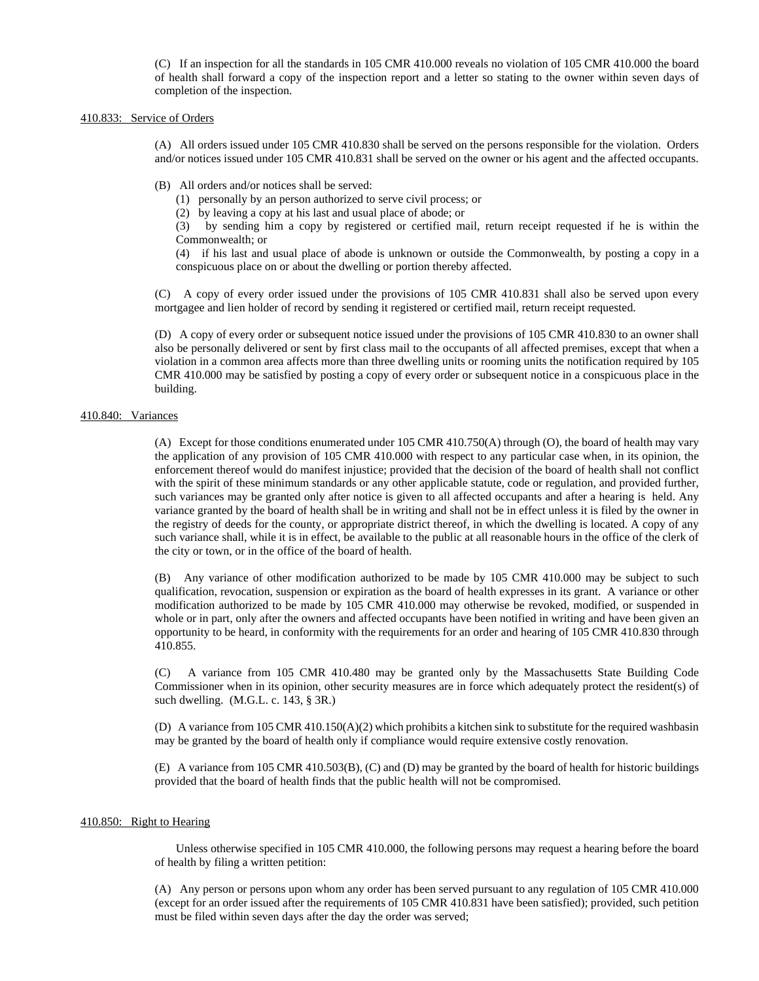(C) If an inspection for all the standards in 105 CMR 410.000 reveals no violation of 105 CMR 410.000 the board of health shall forward a copy of the inspection report and a letter so stating to the owner within seven days of completion of the inspection.

# 410.833: Service of Orders

(A) All orders issued under 105 CMR 410.830 shall be served on the persons responsible for the violation. Orders and/or notices issued under 105 CMR 410.831 shall be served on the owner or his agent and the affected occupants.

(B) All orders and/or notices shall be served:

(1) personally by an person authorized to serve civil process; or

(2) by leaving a copy at his last and usual place of abode; or

(3) by sending him a copy by registered or certified mail, return receipt requested if he is within the Commonwealth; or

(4) if his last and usual place of abode is unknown or outside the Commonwealth, by posting a copy in a conspicuous place on or about the dwelling or portion thereby affected.

(C) A copy of every order issued under the provisions of 105 CMR 410.831 shall also be served upon every mortgagee and lien holder of record by sending it registered or certified mail, return receipt requested.

(D) A copy of every order or subsequent notice issued under the provisions of 105 CMR 410.830 to an owner shall also be personally delivered or sent by first class mail to the occupants of all affected premises, except that when a violation in a common area affects more than three dwelling units or rooming units the notification required by 105 CMR 410.000 may be satisfied by posting a copy of every order or subsequent notice in a conspicuous place in the building.

# 410.840: Variances

(A) Except for those conditions enumerated under 105 CMR 410.750(A) through (O), the board of health may vary the application of any provision of 105 CMR 410.000 with respect to any particular case when, in its opinion, the enforcement thereof would do manifest injustice; provided that the decision of the board of health shall not conflict with the spirit of these minimum standards or any other applicable statute, code or regulation, and provided further, such variances may be granted only after notice is given to all affected occupants and after a hearing is held. Any variance granted by the board of health shall be in writing and shall not be in effect unless it is filed by the owner in the registry of deeds for the county, or appropriate district thereof, in which the dwelling is located. A copy of any such variance shall, while it is in effect, be available to the public at all reasonable hours in the office of the clerk of the city or town, or in the office of the board of health.

(B) Any variance of other modification authorized to be made by 105 CMR 410.000 may be subject to such qualification, revocation, suspension or expiration as the board of health expresses in its grant. A variance or other modification authorized to be made by 105 CMR 410.000 may otherwise be revoked, modified, or suspended in whole or in part, only after the owners and affected occupants have been notified in writing and have been given an opportunity to be heard, in conformity with the requirements for an order and hearing of 105 CMR 410.830 through 410.855.

(C) A variance from 105 CMR 410.480 may be granted only by the Massachusetts State Building Code Commissioner when in its opinion, other security measures are in force which adequately protect the resident(s) of such dwelling. (M.G.L. c. 143, § 3R.)

(D) A variance from 105 CMR 410.150(A)(2) which prohibits a kitchen sink to substitute for the required washbasin may be granted by the board of health only if compliance would require extensive costly renovation.

(E) A variance from 105 CMR 410.503(B), (C) and (D) may be granted by the board of health for historic buildings provided that the board of health finds that the public health will not be compromised.

### 410.850: Right to Hearing

Unless otherwise specified in 105 CMR 410.000, the following persons may request a hearing before the board of health by filing a written petition:

(A) Any person or persons upon whom any order has been served pursuant to any regulation of 105 CMR 410.000 (except for an order issued after the requirements of 105 CMR 410.831 have been satisfied); provided, such petition must be filed within seven days after the day the order was served;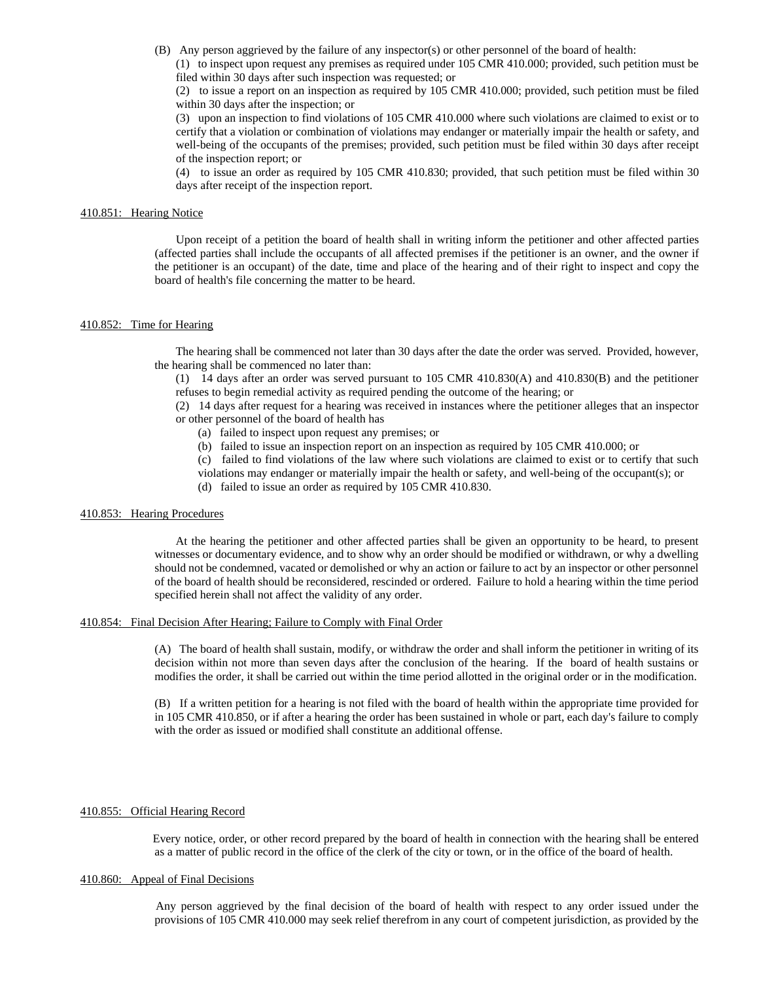(B) Any person aggrieved by the failure of any inspector(s) or other personnel of the board of health:

(1) to inspect upon request any premises as required under 105 CMR 410.000; provided, such petition must be filed within 30 days after such inspection was requested; or

(2) to issue a report on an inspection as required by 105 CMR 410.000; provided, such petition must be filed within 30 days after the inspection; or

(3) upon an inspection to find violations of 105 CMR 410.000 where such violations are claimed to exist or to certify that a violation or combination of violations may endanger or materially impair the health or safety, and well-being of the occupants of the premises; provided, such petition must be filed within 30 days after receipt of the inspection report; or

(4) to issue an order as required by 105 CMR 410.830; provided, that such petition must be filed within 30 days after receipt of the inspection report.

# 410.851: Hearing Notice

Upon receipt of a petition the board of health shall in writing inform the petitioner and other affected parties (affected parties shall include the occupants of all affected premises if the petitioner is an owner, and the owner if the petitioner is an occupant) of the date, time and place of the hearing and of their right to inspect and copy the board of health's file concerning the matter to be heard.

### 410.852: Time for Hearing

The hearing shall be commenced not later than 30 days after the date the order was served. Provided, however, the hearing shall be commenced no later than:

(1) 14 days after an order was served pursuant to 105 CMR 410.830(A) and 410.830(B) and the petitioner refuses to begin remedial activity as required pending the outcome of the hearing; or

(2) 14 days after request for a hearing was received in instances where the petitioner alleges that an inspector or other personnel of the board of health has

- (a) failed to inspect upon request any premises; or
- (b) failed to issue an inspection report on an inspection as required by 105 CMR 410.000; or

(c) failed to find violations of the law where such violations are claimed to exist or to certify that such violations may endanger or materially impair the health or safety, and well-being of the occupant(s); or

(d) failed to issue an order as required by 105 CMR 410.830.

# 410.853: Hearing Procedures

At the hearing the petitioner and other affected parties shall be given an opportunity to be heard, to present witnesses or documentary evidence, and to show why an order should be modified or withdrawn, or why a dwelling should not be condemned, vacated or demolished or why an action or failure to act by an inspector or other personnel of the board of health should be reconsidered, rescinded or ordered. Failure to hold a hearing within the time period specified herein shall not affect the validity of any order.

### 410.854: Final Decision After Hearing; Failure to Comply with Final Order

(A) The board of health shall sustain, modify, or withdraw the order and shall inform the petitioner in writing of its decision within not more than seven days after the conclusion of the hearing. If the board of health sustains or modifies the order, it shall be carried out within the time period allotted in the original order or in the modification.

(B) If a written petition for a hearing is not filed with the board of health within the appropriate time provided for in 105 CMR 410.850, or if after a hearing the order has been sustained in whole or part, each day's failure to comply with the order as issued or modified shall constitute an additional offense.

# 410.855: Official Hearing Record

Every notice, order, or other record prepared by the board of health in connection with the hearing shall be entered as a matter of public record in the office of the clerk of the city or town, or in the office of the board of health.

# 410.860: Appeal of Final Decisions

 Any person aggrieved by the final decision of the board of health with respect to any order issued under the provisions of 105 CMR 410.000 may seek relief therefrom in any court of competent jurisdiction, as provided by the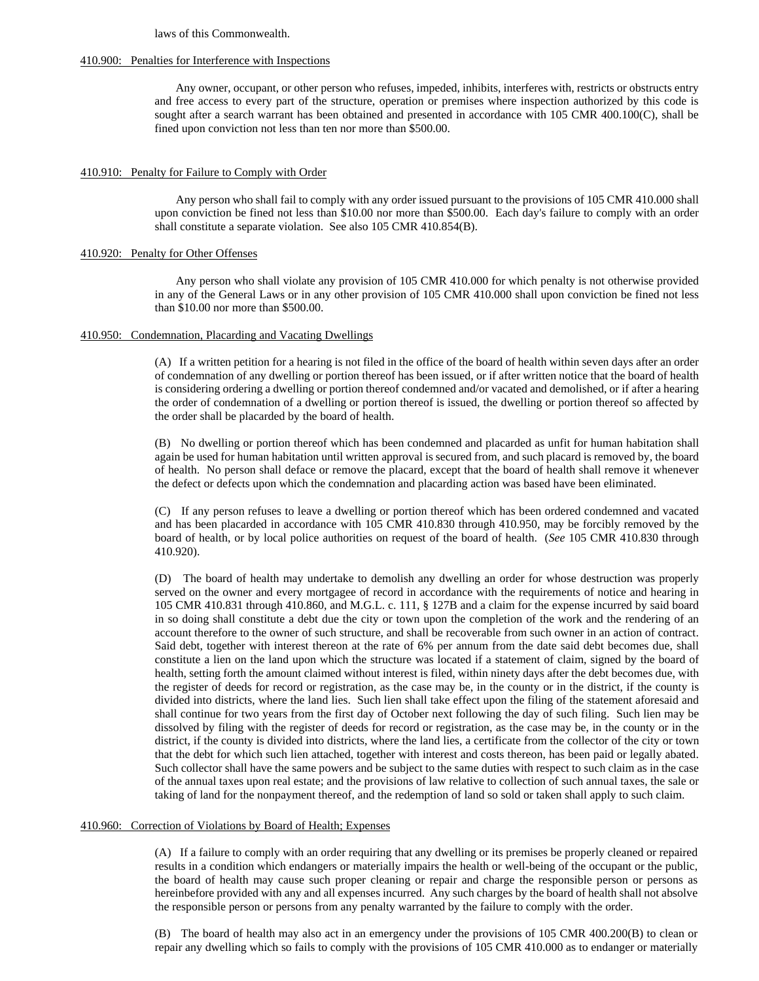laws of this Commonwealth.

# 410.900: Penalties for Interference with Inspections

Any owner, occupant, or other person who refuses, impeded, inhibits, interferes with, restricts or obstructs entry and free access to every part of the structure, operation or premises where inspection authorized by this code is sought after a search warrant has been obtained and presented in accordance with 105 CMR 400.100(C), shall be fined upon conviction not less than ten nor more than \$500.00.

# 410.910: Penalty for Failure to Comply with Order

Any person who shall fail to comply with any order issued pursuant to the provisions of 105 CMR 410.000 shall upon conviction be fined not less than \$10.00 nor more than \$500.00. Each day's failure to comply with an order shall constitute a separate violation. See also 105 CMR 410.854(B).

# 410.920: Penalty for Other Offenses

Any person who shall violate any provision of 105 CMR 410.000 for which penalty is not otherwise provided in any of the General Laws or in any other provision of 105 CMR 410.000 shall upon conviction be fined not less than \$10.00 nor more than \$500.00.

# 410.950: Condemnation, Placarding and Vacating Dwellings

(A) If a written petition for a hearing is not filed in the office of the board of health within seven days after an order of condemnation of any dwelling or portion thereof has been issued, or if after written notice that the board of health is considering ordering a dwelling or portion thereof condemned and/or vacated and demolished, or if after a hearing the order of condemnation of a dwelling or portion thereof is issued, the dwelling or portion thereof so affected by the order shall be placarded by the board of health.

(B) No dwelling or portion thereof which has been condemned and placarded as unfit for human habitation shall again be used for human habitation until written approval is secured from, and such placard is removed by, the board of health. No person shall deface or remove the placard, except that the board of health shall remove it whenever the defect or defects upon which the condemnation and placarding action was based have been eliminated.

(C) If any person refuses to leave a dwelling or portion thereof which has been ordered condemned and vacated and has been placarded in accordance with 105 CMR 410.830 through 410.950, may be forcibly removed by the board of health, or by local police authorities on request of the board of health. (*See* 105 CMR 410.830 through 410.920).

(D) The board of health may undertake to demolish any dwelling an order for whose destruction was properly served on the owner and every mortgagee of record in accordance with the requirements of notice and hearing in 105 CMR 410.831 through 410.860, and M.G.L. c. 111, § 127B and a claim for the expense incurred by said board in so doing shall constitute a debt due the city or town upon the completion of the work and the rendering of an account therefore to the owner of such structure, and shall be recoverable from such owner in an action of contract. Said debt, together with interest thereon at the rate of 6% per annum from the date said debt becomes due, shall constitute a lien on the land upon which the structure was located if a statement of claim, signed by the board of health, setting forth the amount claimed without interest is filed, within ninety days after the debt becomes due, with the register of deeds for record or registration, as the case may be, in the county or in the district, if the county is divided into districts, where the land lies. Such lien shall take effect upon the filing of the statement aforesaid and shall continue for two years from the first day of October next following the day of such filing. Such lien may be dissolved by filing with the register of deeds for record or registration, as the case may be, in the county or in the district, if the county is divided into districts, where the land lies, a certificate from the collector of the city or town that the debt for which such lien attached, together with interest and costs thereon, has been paid or legally abated. Such collector shall have the same powers and be subject to the same duties with respect to such claim as in the case of the annual taxes upon real estate; and the provisions of law relative to collection of such annual taxes, the sale or taking of land for the nonpayment thereof, and the redemption of land so sold or taken shall apply to such claim.

# 410.960: Correction of Violations by Board of Health; Expenses

(A) If a failure to comply with an order requiring that any dwelling or its premises be properly cleaned or repaired results in a condition which endangers or materially impairs the health or well-being of the occupant or the public, the board of health may cause such proper cleaning or repair and charge the responsible person or persons as hereinbefore provided with any and all expenses incurred. Any such charges by the board of health shall not absolve the responsible person or persons from any penalty warranted by the failure to comply with the order.

(B) The board of health may also act in an emergency under the provisions of 105 CMR 400.200(B) to clean or repair any dwelling which so fails to comply with the provisions of 105 CMR 410.000 as to endanger or materially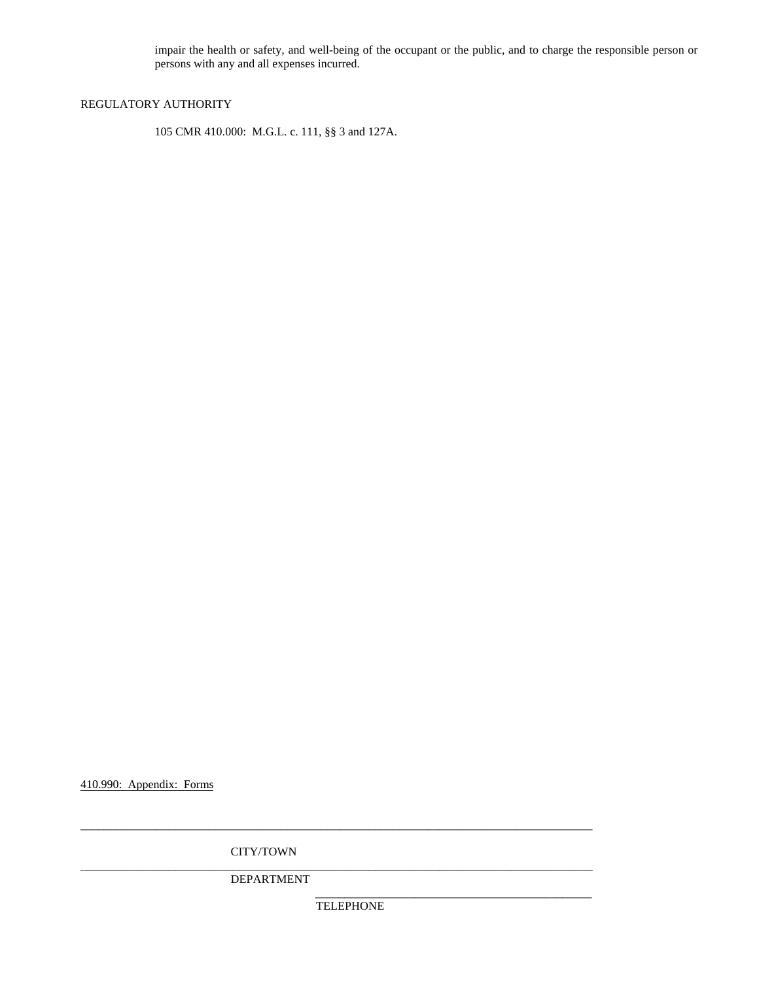impair the health or safety, and well-being of the occupant or the public, and to charge the responsible person or persons with any and all expenses incurred.

# REGULATORY AUTHORITY

105 CMR 410.000: M.G.L. c. 111, §§ 3 and 127A.

410.990: Appendix: Forms

CITY/TOWN

DEPARTMENT

**TELEPHONE** 

\_\_\_\_\_\_\_\_\_\_\_\_\_\_\_\_\_\_\_\_\_\_\_\_\_\_\_\_\_\_\_\_\_\_\_\_\_\_\_\_\_\_\_\_\_\_\_

\_\_\_\_\_\_\_\_\_\_\_\_\_\_\_\_\_\_\_\_\_\_\_\_\_\_\_\_\_\_\_\_\_\_\_\_\_\_\_\_\_\_\_\_\_\_\_\_\_\_\_\_\_\_\_\_\_\_\_\_\_\_\_\_\_\_\_\_\_\_\_\_\_\_\_\_\_\_\_\_\_\_\_\_\_\_\_

\_\_\_\_\_\_\_\_\_\_\_\_\_\_\_\_\_\_\_\_\_\_\_\_\_\_\_\_\_\_\_\_\_\_\_\_\_\_\_\_\_\_\_\_\_\_\_\_\_\_\_\_\_\_\_\_\_\_\_\_\_\_\_\_\_\_\_\_\_\_\_\_\_\_\_\_\_\_\_\_\_\_\_\_\_\_\_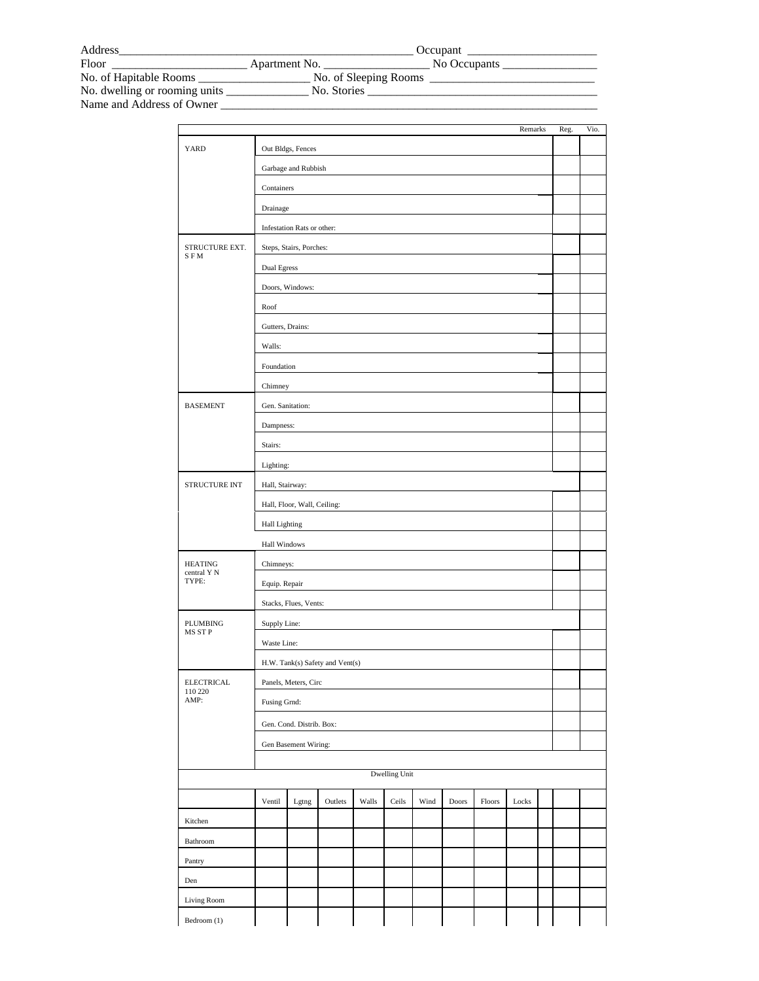| Address                       |                       | Occupant     |
|-------------------------------|-----------------------|--------------|
| Floor                         | Apartment No.         | No Occupants |
| No. of Hapitable Rooms        | No. of Sleeping Rooms |              |
| No. dwelling or rooming units | No. Stories           |              |
| Name and Address of Owner     |                       |              |

|                                      |                                 |                            |         |       |               |      |       |        | Remarks |  | Reg. | Vio. |
|--------------------------------------|---------------------------------|----------------------------|---------|-------|---------------|------|-------|--------|---------|--|------|------|
| YARD                                 |                                 | Out Bldgs, Fences          |         |       |               |      |       |        |         |  |      |      |
|                                      | Garbage and Rubbish             |                            |         |       |               |      |       |        |         |  |      |      |
|                                      | Containers                      |                            |         |       |               |      |       |        |         |  |      |      |
|                                      | Drainage                        |                            |         |       |               |      |       |        |         |  |      |      |
|                                      |                                 | Infestation Rats or other: |         |       |               |      |       |        |         |  |      |      |
| STRUCTURE EXT.<br><b>SFM</b>         |                                 | Steps, Stairs, Porches:    |         |       |               |      |       |        |         |  |      |      |
|                                      | <b>Dual Egress</b>              |                            |         |       |               |      |       |        |         |  |      |      |
|                                      |                                 | Doors, Windows:            |         |       |               |      |       |        |         |  |      |      |
|                                      | Roof                            |                            |         |       |               |      |       |        |         |  |      |      |
|                                      | Gutters, Drains:                |                            |         |       |               |      |       |        |         |  |      |      |
|                                      | Walls:                          |                            |         |       |               |      |       |        |         |  |      |      |
|                                      | Foundation                      |                            |         |       |               |      |       |        |         |  |      |      |
|                                      | Chimney                         |                            |         |       |               |      |       |        |         |  |      |      |
| <b>BASEMENT</b>                      | Gen. Sanitation:                |                            |         |       |               |      |       |        |         |  |      |      |
|                                      | Dampness:                       |                            |         |       |               |      |       |        |         |  |      |      |
|                                      | Stairs:                         |                            |         |       |               |      |       |        |         |  |      |      |
|                                      | Lighting:                       |                            |         |       |               |      |       |        |         |  |      |      |
| STRUCTURE INT                        | Hall, Stairway:                 |                            |         |       |               |      |       |        |         |  |      |      |
|                                      | Hall, Floor, Wall, Ceiling:     |                            |         |       |               |      |       |        |         |  |      |      |
|                                      | <b>Hall Lighting</b>            |                            |         |       |               |      |       |        |         |  |      |      |
|                                      | Hall Windows                    |                            |         |       |               |      |       |        |         |  |      |      |
| <b>HEATING</b>                       | Chimneys:                       |                            |         |       |               |      |       |        |         |  |      |      |
| central Y N<br>TYPE:                 | Equip. Repair                   |                            |         |       |               |      |       |        |         |  |      |      |
|                                      | Stacks, Flues, Vents:           |                            |         |       |               |      |       |        |         |  |      |      |
| PLUMBING                             | Supply Line:                    |                            |         |       |               |      |       |        |         |  |      |      |
| MS ST P                              | Waste Line:                     |                            |         |       |               |      |       |        |         |  |      |      |
|                                      | H.W. Tank(s) Safety and Vent(s) |                            |         |       |               |      |       |        |         |  |      |      |
| <b>ELECTRICAL</b><br>110 220<br>AMP: | Panels, Meters, Circ            |                            |         |       |               |      |       |        |         |  |      |      |
|                                      | Fusing Grnd:                    |                            |         |       |               |      |       |        |         |  |      |      |
|                                      | Gen. Cond. Distrib. Box:        |                            |         |       |               |      |       |        |         |  |      |      |
|                                      | Gen Basement Wiring:            |                            |         |       |               |      |       |        |         |  |      |      |
|                                      |                                 |                            |         |       |               |      |       |        |         |  |      |      |
|                                      |                                 |                            |         |       | Dwelling Unit |      |       |        |         |  |      |      |
|                                      | Ventil                          | Lgtng                      | Outlets | Walls | Ceils         | Wind | Doors | Floors | Locks   |  |      |      |
| Kitchen                              |                                 |                            |         |       |               |      |       |        |         |  |      |      |
| Bathroom                             |                                 |                            |         |       |               |      |       |        |         |  |      |      |
| Pantry                               |                                 |                            |         |       |               |      |       |        |         |  |      |      |
| Den                                  |                                 |                            |         |       |               |      |       |        |         |  |      |      |
| Living Room                          |                                 |                            |         |       |               |      |       |        |         |  |      |      |
| Bedroom (1)                          |                                 |                            |         |       |               |      |       |        |         |  |      |      |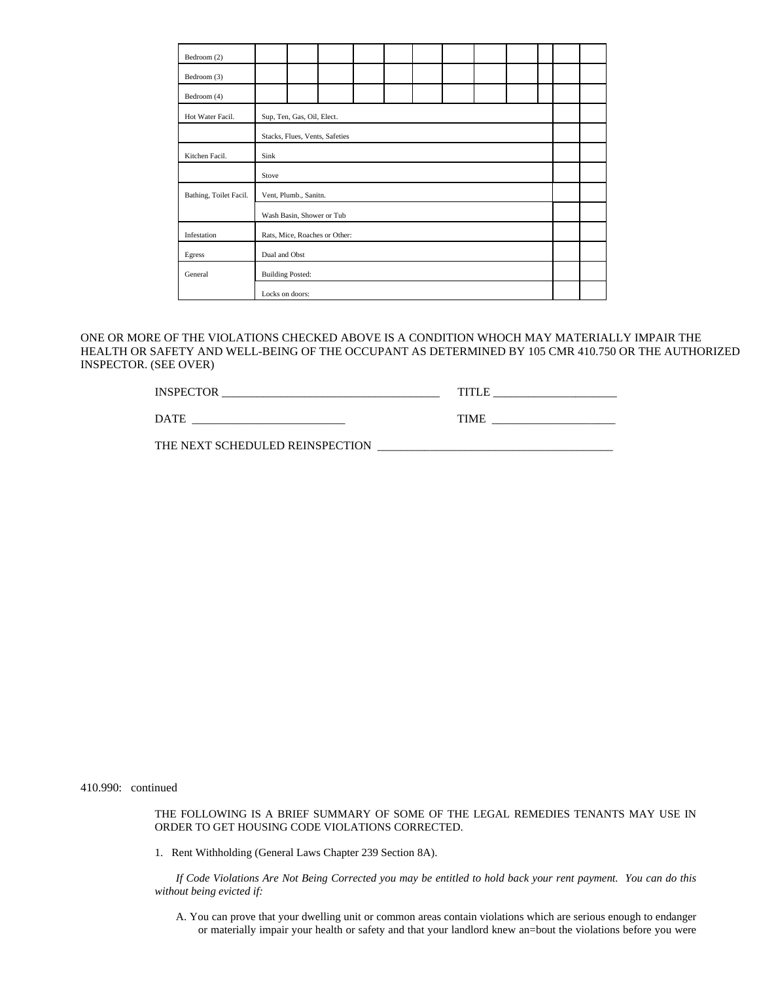| Bedroom (2)            |                               |  |                                |  |  |  |  |  |  |  |  |
|------------------------|-------------------------------|--|--------------------------------|--|--|--|--|--|--|--|--|
| Bedroom (3)            |                               |  |                                |  |  |  |  |  |  |  |  |
| Bedroom (4)            |                               |  |                                |  |  |  |  |  |  |  |  |
| Hot Water Facil.       | Sup, Ten, Gas, Oil, Elect.    |  |                                |  |  |  |  |  |  |  |  |
|                        |                               |  | Stacks, Flues, Vents, Safeties |  |  |  |  |  |  |  |  |
| Kitchen Facil.         | Sink                          |  |                                |  |  |  |  |  |  |  |  |
|                        | Stove                         |  |                                |  |  |  |  |  |  |  |  |
| Bathing, Toilet Facil. | Vent, Plumb., Sanitn.         |  |                                |  |  |  |  |  |  |  |  |
|                        | Wash Basin, Shower or Tub     |  |                                |  |  |  |  |  |  |  |  |
| Infestation            | Rats, Mice, Roaches or Other: |  |                                |  |  |  |  |  |  |  |  |
| Egress                 | Dual and Obst                 |  |                                |  |  |  |  |  |  |  |  |
| General                | <b>Building Posted:</b>       |  |                                |  |  |  |  |  |  |  |  |
|                        | Locks on doors:               |  |                                |  |  |  |  |  |  |  |  |

ONE OR MORE OF THE VIOLATIONS CHECKED ABOVE IS A CONDITION WHOCH MAY MATERIALLY IMPAIR THE HEALTH OR SAFETY AND WELL-BEING OF THE OCCUPANT AS DETERMINED BY 105 CMR 410.750 OR THE AUTHORIZED INSPECTOR. (SEE OVER)

| <b>ING</b><br>** ** |  |
|---------------------|--|
|                     |  |

DATE \_\_\_\_\_\_\_\_\_\_\_\_\_\_\_\_\_\_\_\_\_\_\_\_\_\_ TIME \_\_\_\_\_\_\_\_\_\_\_\_\_\_\_\_\_\_\_\_\_

THE NEXT SCHEDULED REINSPECTION \_\_\_\_\_\_\_\_\_\_\_\_\_\_\_\_\_\_\_\_\_\_\_\_\_\_\_\_\_\_\_\_\_\_\_\_\_\_\_\_

410.990: continued

THE FOLLOWING IS A BRIEF SUMMARY OF SOME OF THE LEGAL REMEDIES TENANTS MAY USE IN ORDER TO GET HOUSING CODE VIOLATIONS CORRECTED.

1. Rent Withholding (General Laws Chapter 239 Section 8A).

*If Code Violations Are Not Being Corrected you may be entitled to hold back your rent payment. You can do this without being evicted if:*

A. You can prove that your dwelling unit or common areas contain violations which are serious enough to endanger or materially impair your health or safety and that your landlord knew an=bout the violations before you were